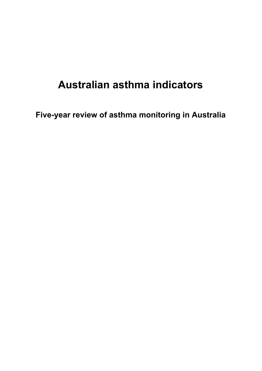# **Australian asthma indicators**

**Five-year review of asthma monitoring in Australia**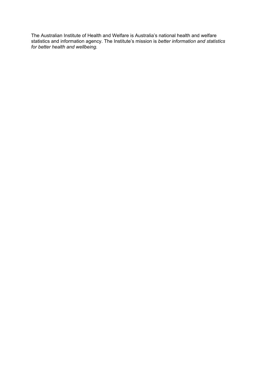The Australian Institute of Health and Welfare is Australia's national health and welfare statistics and information agency. The Institute's mission is *better information and statistics for better health and wellbeing.*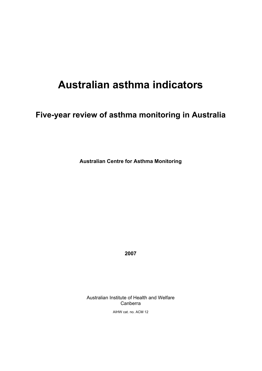# **Australian asthma indicators**

## **Five-year review of asthma monitoring in Australia**

**Australian Centre for Asthma Monitoring** 

**2007** 

Australian Institute of Health and Welfare Canberra

AIHW cat. no. ACM 12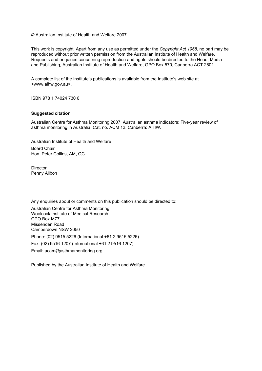© Australian Institute of Health and Welfare 2007

This work is copyright. Apart from any use as permitted under the *Copyright Act 1968*, no part may be reproduced without prior written permission from the Australian Institute of Health and Welfare. Requests and enquiries concerning reproduction and rights should be directed to the Head, Media and Publishing, Australian Institute of Health and Welfare, GPO Box 570, Canberra ACT 2601.

A complete list of the Institute's publications is available from the Institute's web site at <www.aihw.gov.au>.

ISBN 978 1 74024 730 6

#### **Suggested citation**

Australian Centre for Asthma Monitoring 2007. Australian asthma indicators: Five-year review of asthma monitoring in Australia. Cat. no. ACM 12. Canberra: AIHW.

Australian Institute of Health and Welfare Board Chair Hon. Peter Collins, AM, QC

**Director** Penny Allbon

Any enquiries about or comments on this publication should be directed to:

Australian Centre for Asthma Monitoring Woolcock Institute of Medical Research GPO Box M77 Missenden Road Camperdown NSW 2050 Phone: (02) 9515 5226 (International +61 2 9515 5226) Fax: (02) 9516 1207 (International +61 2 9516 1207) Email: acam@asthmamonitoring.org

Published by the Australian Institute of Health and Welfare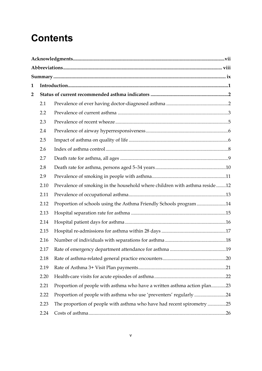# **Contents**

| $\mathbf 1$ |      |                                                                            |  |  |  |  |  |  |
|-------------|------|----------------------------------------------------------------------------|--|--|--|--|--|--|
| 2           |      |                                                                            |  |  |  |  |  |  |
|             | 2.1  |                                                                            |  |  |  |  |  |  |
|             | 2.2  |                                                                            |  |  |  |  |  |  |
|             | 2.3  |                                                                            |  |  |  |  |  |  |
|             | 2.4  |                                                                            |  |  |  |  |  |  |
|             | 2.5  |                                                                            |  |  |  |  |  |  |
|             | 2.6  |                                                                            |  |  |  |  |  |  |
|             | 2.7  |                                                                            |  |  |  |  |  |  |
|             | 2.8  |                                                                            |  |  |  |  |  |  |
|             | 2.9  |                                                                            |  |  |  |  |  |  |
|             | 2.10 | Prevalence of smoking in the household where children with asthma reside12 |  |  |  |  |  |  |
|             | 2.11 |                                                                            |  |  |  |  |  |  |
|             | 2.12 | Proportion of schools using the Asthma Friendly Schools program14          |  |  |  |  |  |  |
|             | 2.13 |                                                                            |  |  |  |  |  |  |
|             | 2.14 |                                                                            |  |  |  |  |  |  |
|             | 2.15 |                                                                            |  |  |  |  |  |  |
|             | 2.16 |                                                                            |  |  |  |  |  |  |
|             | 2.17 |                                                                            |  |  |  |  |  |  |
|             | 2.18 |                                                                            |  |  |  |  |  |  |
|             | 2.19 |                                                                            |  |  |  |  |  |  |
|             | 2.20 |                                                                            |  |  |  |  |  |  |
|             | 2.21 | Proportion of people with asthma who have a written asthma action plan23   |  |  |  |  |  |  |
|             | 2.22 | Proportion of people with asthma who use 'preventers' regularly24          |  |  |  |  |  |  |
|             | 2.23 | The proportion of people with asthma who have had recent spirometry 25     |  |  |  |  |  |  |
|             | 2.24 |                                                                            |  |  |  |  |  |  |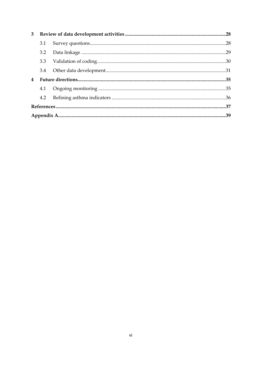| $3^{\circ}$             |     |  |  |  |
|-------------------------|-----|--|--|--|
|                         | 3.1 |  |  |  |
|                         |     |  |  |  |
|                         |     |  |  |  |
|                         |     |  |  |  |
| $\overline{\mathbf{4}}$ |     |  |  |  |
|                         | 4.1 |  |  |  |
|                         | 4.2 |  |  |  |
|                         |     |  |  |  |
|                         |     |  |  |  |
|                         |     |  |  |  |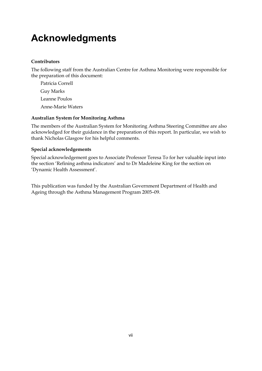# **Acknowledgments**

#### **Contributors**

The following staff from the Australian Centre for Asthma Monitoring were responsible for the preparation of this document:

Patricia Correll Guy Marks Leanne Poulos Anne-Marie Waters

#### **Australian System for Monitoring Asthma**

The members of the Australian System for Monitoring Asthma Steering Committee are also acknowledged for their guidance in the preparation of this report. In particular, we wish to thank Nicholas Glasgow for his helpful comments.

#### **Special acknowledgements**

Special acknowledgement goes to Associate Professor Teresa To for her valuable input into the section 'Refining asthma indicators' and to Dr Madeleine King for the section on 'Dynamic Health Assessment'.

This publication was funded by the Australian Government Department of Health and Ageing through the Asthma Management Program 2005–09.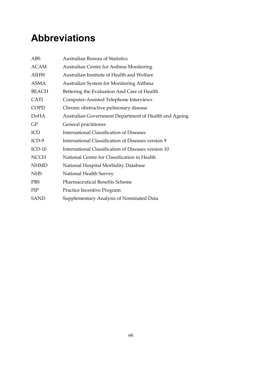# **Abbreviations**

| <b>ABS</b>   | <b>Australian Bureau of Statistics</b>                |
|--------------|-------------------------------------------------------|
| ACAM         | Australian Centre for Asthma Monitoring               |
| <b>AIHW</b>  | Australian Institute of Health and Welfare            |
| ASMA         | Australian System for Monitoring Asthma               |
| <b>BEACH</b> | Bettering the Evaluation And Care of Health           |
| <b>CATI</b>  | Computer-Assisted Telephone Interviews                |
| <b>COPD</b>  | Chronic obstructive pulmonary disease                 |
| <b>DoHA</b>  | Australian Government Department of Health and Ageing |
| GP           | General practitioner                                  |
| ICD          | <b>International Classification of Diseases</b>       |
| $ICD-9$      | International Classification of Diseases version 9    |
| $ICD-10$     | International Classification of Diseases version 10   |
| <b>NCCH</b>  | National Centre for Classification in Health          |
| <b>NHMD</b>  | National Hospital Morbidity Database                  |
| <b>NHS</b>   | National Health Survey                                |
| <b>PBS</b>   | <b>Pharmaceutical Benefits Scheme</b>                 |
| PIP          | Practice Incentive Program                            |
| <b>SAND</b>  | Supplementary Analysis of Nominated Data              |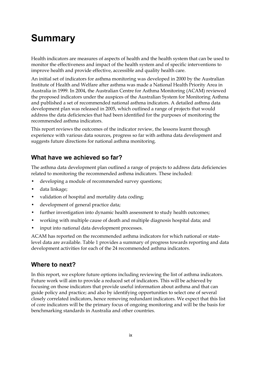# **Summary**

Health indicators are measures of aspects of health and the health system that can be used to monitor the effectiveness and impact of the health system and of specific interventions to improve health and provide effective, accessible and quality health care.

An initial set of indicators for asthma monitoring was developed in 2000 by the Australian Institute of Health and Welfare after asthma was made a National Health Priority Area in Australia in 1999. In 2004, the Australian Centre for Asthma Monitoring (ACAM) reviewed the proposed indicators under the auspices of the Australian System for Monitoring Asthma and published a set of recommended national asthma indicators. A detailed asthma data development plan was released in 2005, which outlined a range of projects that would address the data deficiencies that had been identified for the purposes of monitoring the recommended asthma indicators.

This report reviews the outcomes of the indicator review, the lessons learnt through experience with various data sources, progress so far with asthma data development and suggests future directions for national asthma monitoring.

## **What have we achieved so far?**

The asthma data development plan outlined a range of projects to address data deficiencies related to monitoring the recommended asthma indicators. These included:

- developing a module of recommended survey questions;
- data linkage;
- validation of hospital and mortality data coding;
- development of general practice data;
- further investigation into dynamic health assessment to study health outcomes;
- working with multiple cause of death and multiple diagnosis hospital data; and
- input into national data development processes.

ACAM has reported on the recommended asthma indicators for which national or statelevel data are available. Table 1 provides a summary of progress towards reporting and data development activities for each of the 24 recommended asthma indicators.

## **Where to next?**

In this report, we explore future options including reviewing the list of asthma indicators. Future work will aim to provide a reduced set of indicators. This will be achieved by focusing on those indicators that provide useful information about asthma and that can guide policy and practice; and also by identifying opportunities to select one of several closely correlated indicators, hence removing redundant indicators. We expect that this list of core indicators will be the primary focus of ongoing monitoring and will be the basis for benchmarking standards in Australia and other countries.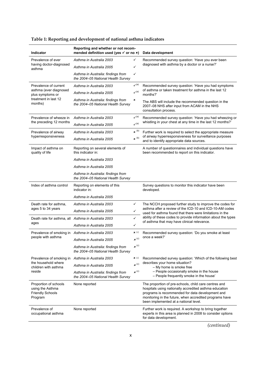| Indicator                                                                       | Reporting and whether or not recom-<br>mended definition used (yes $\checkmark$ or no $\checkmark$ ) |                                                       | Data development                                                                                                                                                                                                                                                        |  |
|---------------------------------------------------------------------------------|------------------------------------------------------------------------------------------------------|-------------------------------------------------------|-------------------------------------------------------------------------------------------------------------------------------------------------------------------------------------------------------------------------------------------------------------------------|--|
| Prevalence of ever                                                              | Asthma in Australia 2003                                                                             |                                                       | Recommended survey question: 'Have you ever been                                                                                                                                                                                                                        |  |
| having doctor-diagnosed<br>asthma                                               | Asthma in Australia 2005                                                                             | ✓                                                     | diagnosed with asthma by a doctor or a nurse?'                                                                                                                                                                                                                          |  |
|                                                                                 | Asthma in Australia: findings from<br>the 2004-05 National Health Survey                             | ✓                                                     |                                                                                                                                                                                                                                                                         |  |
| Prevalence of current                                                           | Asthma in Australia 2003                                                                             | $\checkmark$ <sup>(a)</sup>                           | Recommended survey question: 'Have you had symptoms                                                                                                                                                                                                                     |  |
| asthma (ever diagnosed<br>plus symptoms or                                      | Asthma in Australia 2005                                                                             | $\mathcal{V}^{(a)}$                                   | of asthma or taken treatment for asthma in the last 12<br>months?'                                                                                                                                                                                                      |  |
| treatment in last 12<br>months)                                                 | Asthma in Australia: findings from<br>the 2004-05 National Health Survey                             | ×                                                     | The ABS will include the recommended question in the<br>2007-08 NHS after input from ACAM in the NHS<br>consultation process.                                                                                                                                           |  |
| Prevalence of wheeze in                                                         | Asthma in Australia 2003                                                                             | $\checkmark$ <sup>(a)</sup>                           | Recommended survey question: 'Have you had wheezing or                                                                                                                                                                                                                  |  |
| the preceding 12 months                                                         | Asthma in Australia 2005                                                                             | $\boldsymbol{\checkmark}^{(\textnormal{\texttt{a}})}$ | whistling in your chest at any time in the last 12 months?'                                                                                                                                                                                                             |  |
| Prevalence of airway                                                            | Asthma in Australia 2003                                                                             | $\times$ <sup>(b)</sup>                               | Further work is required to select the appropriate measure                                                                                                                                                                                                              |  |
| hyperresponsiveness                                                             | Asthma in Australia 2005                                                                             | $\pmb{x}^{\rm (b)}$                                   | of airway hyperresponsiveness for surveillance purposes<br>and to identify appropriate data sources.                                                                                                                                                                    |  |
| Impact of asthma on<br>quality of life                                          | Reporting on several elements of<br>this indicator in:                                               |                                                       | A number of questionnaires and individual questions have<br>been recommended to report on this indicator.                                                                                                                                                               |  |
|                                                                                 | Asthma in Australia 2003                                                                             |                                                       |                                                                                                                                                                                                                                                                         |  |
|                                                                                 | Asthma in Australia 2005                                                                             |                                                       |                                                                                                                                                                                                                                                                         |  |
|                                                                                 | Asthma in Australia: findings from<br>the 2004-05 National Health Survey                             |                                                       |                                                                                                                                                                                                                                                                         |  |
| Index of asthma control                                                         | Reporting on elements of this<br>indicator in:                                                       |                                                       | Survey questions to monitor this indicator have been<br>developed.                                                                                                                                                                                                      |  |
|                                                                                 | Asthma in Australia 2005                                                                             |                                                       |                                                                                                                                                                                                                                                                         |  |
| Death rate for asthma,                                                          | Asthma in Australia 2003                                                                             | ✓                                                     | The NCCH proposed further study to improve the codes for                                                                                                                                                                                                                |  |
| ages 5 to 34 years                                                              | Asthma in Australia 2005                                                                             | $\checkmark$                                          | asthma after a review of the ICD-10 and ICD-10-AM codes<br>used for asthma found that there were limitations in the                                                                                                                                                     |  |
|                                                                                 | Death rate for asthma, all Asthma in Australia 2003                                                  | $\checkmark$                                          | ability of these codes to provide information about the types<br>of asthma that may have clinical relevance.                                                                                                                                                            |  |
| ages                                                                            | Asthma in Australia 2005                                                                             | ✓                                                     |                                                                                                                                                                                                                                                                         |  |
| Prevalence of smoking in                                                        | Asthma in Australia 2003                                                                             | $\boldsymbol{\mathsf{x}}$ (c)                         | Recommended survey question: 'Do you smoke at least                                                                                                                                                                                                                     |  |
| people with asthma                                                              | Asthma in Australia 2005                                                                             | $\pmb{x}^{\,(\mathrm{c})}$                            | once a week?'                                                                                                                                                                                                                                                           |  |
|                                                                                 | Asthma in Australia: findings from<br>the 2004-05 National Health Survey                             | $\pmb{x}^{\,(\mathrm{c})}$                            |                                                                                                                                                                                                                                                                         |  |
| Prevalence of smoking in                                                        | Asthma in Australia 2003                                                                             | $\boldsymbol{\mathsf{x}}$ (c)                         | Recommended survey question: 'Which of the following best                                                                                                                                                                                                               |  |
| the household where<br>children with asthma                                     | Asthma in Australia 2005                                                                             | $\pmb{x}^{\,(\mathrm{c})}$                            | describes your home situation?<br>- My home is smoke free                                                                                                                                                                                                               |  |
| reside                                                                          | Asthma in Australia: findings from<br>the 2004-05 National Health Survey                             | $\boldsymbol{x}^{(c)}$                                | - People occasionally smoke in the house<br>- People frequently smoke in the house'                                                                                                                                                                                     |  |
| Proportion of schools<br>using the Asthma<br><b>Friendly Schools</b><br>Program | None reported                                                                                        |                                                       | The proportion of pre-schools, child care centres and<br>hospitals using nationally accredited asthma education<br>programs is recommended for data development and<br>monitoring in the future, when accredited programs have<br>been implemented at a national level. |  |
| Prevalence of<br>occupational asthma                                            | None reported                                                                                        |                                                       | Further work is required. A workshop to bring together<br>experts in this area is planned in 2008 to consider options<br>for data development.                                                                                                                          |  |

## **Table 1: Reporting and development of national asthma indicators**

*(continued)*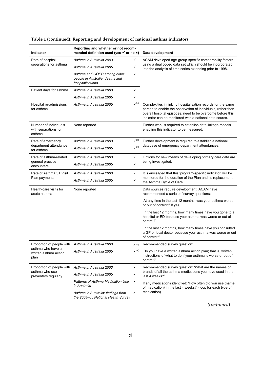| <b>Indicator</b>                                        | Reporting and whether or not recom-<br>mended definition used (yes $\checkmark$ or no $\checkmark$ ) |                             | Data development                                                                                                                                                                                                                                      |  |  |
|---------------------------------------------------------|------------------------------------------------------------------------------------------------------|-----------------------------|-------------------------------------------------------------------------------------------------------------------------------------------------------------------------------------------------------------------------------------------------------|--|--|
| Rate of hospital                                        | Asthma in Australia 2003<br>✓                                                                        |                             | ACAM developed age-group-specific comparability factors                                                                                                                                                                                               |  |  |
| separations for asthma                                  | Asthma in Australia 2005                                                                             | ✓                           | using a dual coded data set which should be incorporated<br>into the analysis of time series extending prior to 1998.                                                                                                                                 |  |  |
|                                                         | Asthma and COPD among older<br>✓<br>people in Australia: deaths and<br>hospitalisations              |                             |                                                                                                                                                                                                                                                       |  |  |
| Patient days for asthma                                 | Asthma in Australia 2003                                                                             | ✓                           |                                                                                                                                                                                                                                                       |  |  |
|                                                         | Asthma in Australia 2005                                                                             | ✓                           |                                                                                                                                                                                                                                                       |  |  |
| Hospital re-admissions<br>for asthma                    | $\checkmark$ <sup>(a)</sup><br>Asthma in Australia 2005                                              |                             | Complexities in linking hospitalisation records for the same<br>person to enable the observation of individuals, rather than<br>overall hospital episodes, need to be overcome before this<br>indicator can be monitored with a national data source. |  |  |
| Number of individuals<br>with separations for<br>asthma | None reported                                                                                        |                             | Further work is required to establish data linkage models<br>enabling this indicator to be measured.                                                                                                                                                  |  |  |
| Rate of emergency                                       | Asthma in Australia 2003                                                                             | $\checkmark$ <sup>(a)</sup> | Further development is required to establish a national                                                                                                                                                                                               |  |  |
| department attendance<br>for asthma                     | Asthma in Australia 2005                                                                             | $\mathcal{V}^{(a)}$         | database of emergency department attendances.                                                                                                                                                                                                         |  |  |
| Rate of asthma-related                                  | Asthma in Australia 2003                                                                             | ✓                           | Options for new means of developing primary care data are                                                                                                                                                                                             |  |  |
| general practice<br>encounters                          | Asthma in Australia 2005                                                                             | ✓                           | being investigated.                                                                                                                                                                                                                                   |  |  |
| Rate of Asthma 3+ Visit                                 | Asthma in Australia 2003                                                                             | ✓                           | It is envisaged that this 'program-specific indicator' will be                                                                                                                                                                                        |  |  |
| Plan payments                                           | Asthma in Australia 2005                                                                             | ✓                           | monitored for the duration of the Plan and its replacement,<br>the Asthma Cycle of Care.                                                                                                                                                              |  |  |
| Health-care visits for<br>acute asthma                  | None reported                                                                                        |                             | Data sources require development. ACAM have<br>recommended a series of survey questions:                                                                                                                                                              |  |  |
|                                                         |                                                                                                      |                             | 'At any time in the last 12 months, was your asthma worse<br>or out of control?' If yes,                                                                                                                                                              |  |  |
|                                                         |                                                                                                      |                             | 'In the last 12 months, how many times have you gone to a<br>hospital or ED because your asthma was worse or out of<br>control?'                                                                                                                      |  |  |
|                                                         |                                                                                                      |                             | 'In the last 12 months, how many times have you consulted<br>a GP or local doctor because your asthma was worse or out<br>of control?'                                                                                                                |  |  |
| Proportion of people with                               | Asthma in Australia 2003                                                                             | $\mathbf{x}$ (c)            | Recommended survey question:                                                                                                                                                                                                                          |  |  |
| asthma who have a<br>written asthma action<br>plan      | Asthma in Australia 2005                                                                             | $\times$ (c)                | 'Do you have a written asthma action plan; that is, written<br>instructions of what to do if your asthma is worse or out of<br>control?'                                                                                                              |  |  |
| Proportion of people with                               | Asthma in Australia 2003                                                                             | ×                           | Recommended survey question: 'What are the names or                                                                                                                                                                                                   |  |  |
| asthma who use<br>preventers regularly                  | Asthma in Australia 2005                                                                             | ×                           | brands of all the asthma medications you have used in the<br>last 4 weeks?'                                                                                                                                                                           |  |  |
|                                                         | Patterns of Asthma Medication Use<br>in Australia                                                    | ×                           | If any medications identified: 'How often did you use {name<br>of medication} in the last 4 weeks?' (loop for each type of                                                                                                                            |  |  |
|                                                         | Asthma in Australia: findings from<br>the 2004-05 National Health Survey                             | ×                           | medication)                                                                                                                                                                                                                                           |  |  |

## **Table 1 (continued): Reporting and development of national asthma indicators**

*(continued)*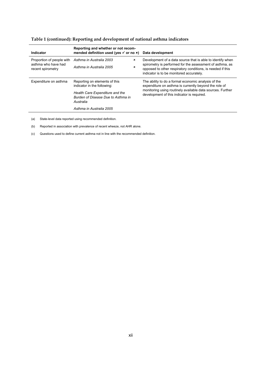| Indicator                                | Reporting and whether or not recom-<br>mended definition used (yes $\checkmark$ or no $\checkmark$ ) |             | Data development                                                                                                                                                   |  |
|------------------------------------------|------------------------------------------------------------------------------------------------------|-------------|--------------------------------------------------------------------------------------------------------------------------------------------------------------------|--|
| Proportion of people with                | Asthma in Australia 2003                                                                             | ×           | Development of a data source that is able to identify when                                                                                                         |  |
| asthma who have had<br>recent spirometry | Asthma in Australia 2005                                                                             | $\mathbf x$ | spirometry is performed for the assessment of asthma, as<br>opposed to other respiratory conditions, is needed if this<br>indicator is to be monitored accurately. |  |
| Expenditure on asthma                    | Reporting on elements of this<br>indicator in the following:                                         |             | The ability to do a formal economic analysis of the<br>expenditure on asthma is currently beyond the role of                                                       |  |
|                                          | Health Care Expenditure and the<br>Burden of Disease Due to Asthma in<br>Australia                   |             | monitoring using routinely available data sources. Further<br>development of this indicator is required.                                                           |  |
|                                          | Asthma in Australia 2005                                                                             |             |                                                                                                                                                                    |  |

#### **Table 1 (continued): Reporting and development of national asthma indicators**

(a) State-level data reported using recommended definition.

(b) Reported in association with prevalence of recent wheeze, not AHR alone.

(c) Questions used to define current asthma not in line with the recommended definition.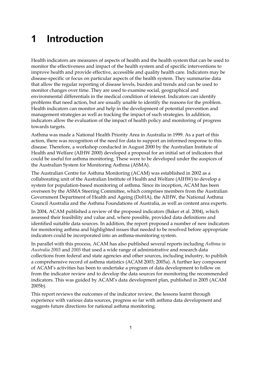# **1 Introduction**

Health indicators are measures of aspects of health and the health system that can be used to monitor the effectiveness and impact of the health system and of specific interventions to improve health and provide effective, accessible and quality health care. Indicators may be disease-specific or focus on particular aspects of the health system. They summarise data that allow the regular reporting of disease levels, burden and trends and can be used to monitor changes over time. They are used to examine social, geographical and environmental differentials in the medical condition of interest. Indicators can identify problems that need action, but are usually unable to identify the reasons for the problem. Health indicators can monitor and help in the development of potential prevention and management strategies as well as tracking the impact of such strategies. In addition, indicators allow the evaluation of the impact of health policy and monitoring of progress towards targets.

Asthma was made a National Health Priority Area in Australia in 1999. As a part of this action, there was recognition of the need for data to support an informed response to this disease. Therefore, a workshop conducted in August 2000 by the Australian Institute of Health and Welfare (AIHW 2000) developed a proposal for an initial set of indicators that could be useful for asthma monitoring. These were to be developed under the auspices of the Australian System for Monitoring Asthma (ASMA).

The Australian Centre for Asthma Monitoring (ACAM) was established in 2002 as a collaborating unit of the Australian Institute of Health and Welfare (AIHW) to develop a system for population-based monitoring of asthma. Since its inception, ACAM has been overseen by the ASMA Steering Committee, which comprises members from the Australian Government Department of Health and Ageing (DoHA), the AIHW, the National Asthma Council Australia and the Asthma Foundations of Australia, as well as content area experts.

In 2004, ACAM published a review of the proposed indicators (Baker et al. 2004), which assessed their feasibility and value and, where possible, provided data definitions and identified suitable data sources. In addition, the report proposed a number of new indicators for monitoring asthma and highlighted issues that needed to be resolved before appropriate indicators could be incorporated into an asthma-monitoring system.

In parallel with this process, ACAM has also published several reports including *Asthma in Australia 2003* and *2005* that used a wide range of administrative and research data collections from federal and state agencies and other sources, including industry, to publish a comprehensive record of asthma statistics (ACAM 2003; 2005a). A further key component of ACAM's activities has been to undertake a program of data development to follow on from the indicator review and to develop the data sources for monitoring the recommended indicators. This was guided by ACAM's data development plan, published in 2005 (ACAM 2005b).

This report reviews the outcomes of the indicator review, the lessons learnt through experience with various data sources, progress so far with asthma data development and suggests future directions for national asthma monitoring.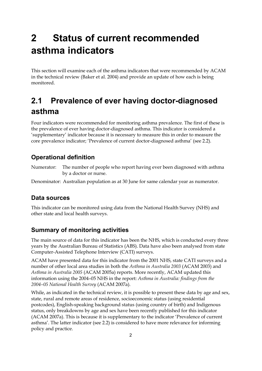# **2 Status of current recommended asthma indicators**

This section will examine each of the asthma indicators that were recommended by ACAM in the technical review (Baker et al. 2004) and provide an update of how each is being monitored.

## **2.1 Prevalence of ever having doctor-diagnosed asthma**

Four indicators were recommended for monitoring asthma prevalence. The first of these is the prevalence of ever having doctor-diagnosed asthma. This indicator is considered a 'supplementary' indicator because it is necessary to measure this in order to measure the core prevalence indicator; 'Prevalence of current doctor-diagnosed asthma' (see 2.2).

## **Operational definition**

Numerator: The number of people who report having ever been diagnosed with asthma by a doctor or nurse.

Denominator: Australian population as at 30 June for same calendar year as numerator.

## **Data sources**

This indicator can be monitored using data from the National Health Survey (NHS) and other state and local health surveys.

## **Summary of monitoring activities**

The main source of data for this indicator has been the NHS, which is conducted every three years by the Australian Bureau of Statistics (ABS). Data have also been analysed from state Computer-Assisted Telephone Interview (CATI) surveys.

ACAM have presented data for this indicator from the 2001 NHS, state CATI surveys and a number of other local area studies in both the *Asthma in Australia 2003* (ACAM 2003) and *Asthma in Australia 2005* (ACAM 2005a) reports. More recently, ACAM updated this information using the 2004–05 NHS in the report: *Asthma in Australia: findings from the 2004–05 National Health Survey* (ACAM 2007a).

While, as indicated in the technical review, it is possible to present these data by age and sex, state, rural and remote areas of residence, socioeconomic status (using residential postcodes), English-speaking background status (using country of birth) and Indigenous status, only breakdowns by age and sex have been recently published for this indicator (ACAM 2007a). This is because it is supplementary to the indicator 'Prevalence of current asthma'. The latter indicator (see 2.2) is considered to have more relevance for informing policy and practice.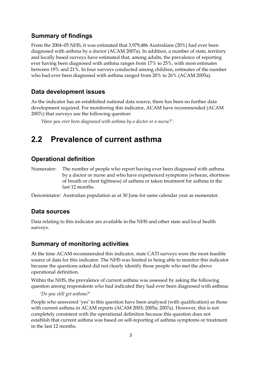#### **Summary of findings**

From the 2004–05 NHS, it was estimated that 3,979,486 Australians (20%) had ever been diagnosed with asthma by a doctor (ACAM 2007a). In addition, a number of state, territory and locally based surveys have estimated that, among adults, the prevalence of reporting ever having been diagnosed with asthma ranges from 17% to 25%, with most estimates between 19% and 21%. In four surveys conducted among children, estimates of the number who had ever been diagnosed with asthma ranged from 20% to 26% (ACAM 2005a).

#### **Data development issues**

As the indicator has an established national data source, there has been no further data development required. For monitoring this indicator, ACAM have recommended (ACAM 2007c) that surveys use the following question:

*'Have you ever been diagnosed with asthma by a doctor or a nurse?'*.

## **2.2 Prevalence of current asthma**

### **Operational definition**

Numerator: The number of people who report having ever been diagnosed with asthma by a doctor or nurse and who have experienced symptoms (wheeze, shortness of breath or chest tightness) of asthma or taken treatment for asthma in the last 12 months.

Denominator: Australian population as at 30 June for same calendar year as numerator.

#### **Data sources**

Data relating to this indicator are available in the NHS and other state and local health surveys.

#### **Summary of monitoring activities**

At the time ACAM recommended this indicator, state CATI surveys were the most feasible source of data for this indicator. The NHS was limited in being able to monitor this indicator because the questions asked did not clearly identify those people who met the above operational definition.

Within the NHS, the prevalence of current asthma was assessed by asking the following question among respondents who had indicated they had ever been diagnosed with asthma:

*'Do you still get asthma?'* 

People who answered 'yes' to this question have been analysed (with qualification) as those with current asthma in ACAM reports (ACAM 2003; 2005a; 2007a). However, this is not completely consistent with the operational definition because this question does not establish that current asthma was based on self-reporting of asthma symptoms or treatment in the last 12 months.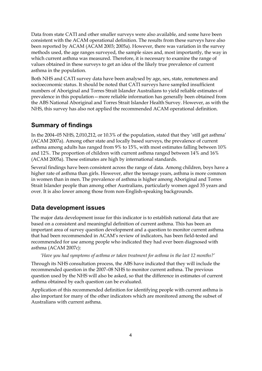Data from state CATI and other smaller surveys were also available, and some have been consistent with the ACAM operational definition. The results from these surveys have also been reported by ACAM (ACAM 2003; 2005a). However, there was variation in the survey methods used, the age ranges surveyed, the sample sizes and, most importantly, the way in which current asthma was measured. Therefore, it is necessary to examine the range of values obtained in these surveys to get an idea of the likely true prevalence of current asthma in the population.

Both NHS and CATI survey data have been analysed by age, sex, state, remoteness and socioeconomic status. It should be noted that CATI surveys have sampled insufficient numbers of Aboriginal and Torres Strait Islander Australians to yield reliable estimates of prevalence in this population—more reliable information has generally been obtained from the ABS National Aboriginal and Torres Strait Islander Health Survey. However, as with the NHS, this survey has also not applied the recommended ACAM operational definition.

## **Summary of findings**

In the 2004–05 NHS, 2,010,212, or 10.3% of the population, stated that they 'still get asthma' (ACAM 2007a). Among other state and locally based surveys, the prevalence of current asthma among adults has ranged from 9% to 15%, with most estimates falling between 10% and 12%. The proportion of children with current asthma ranged between 14% and 16% (ACAM 2005a). These estimates are high by international standards.

Several findings have been consistent across the range of data. Among children, boys have a higher rate of asthma than girls. However, after the teenage years, asthma is more common in women than in men. The prevalence of asthma is higher among Aboriginal and Torres Strait Islander people than among other Australians, particularly women aged 35 years and over. It is also lower among those from non-English-speaking backgrounds.

## **Data development issues**

The major data development issue for this indicator is to establish national data that are based on a consistent and meaningful definition of current asthma. This has been an important area of survey question development and a question to monitor current asthma that had been recommended in ACAM's review of indicators, has been field-tested and recommended for use among people who indicated they had ever been diagnosed with asthma (ACAM 2007c):

*'Have you had symptoms of asthma or taken treatment for asthma in the last 12 months?'* 

Through its NHS consultation process, the ABS have indicated that they will include the recommended question in the 2007–08 NHS to monitor current asthma. The previous question used by the NHS will also be asked, so that the difference in estimates of current asthma obtained by each question can be evaluated.

Application of this recommended definition for identifying people with current asthma is also important for many of the other indicators which are monitored among the subset of Australians with current asthma.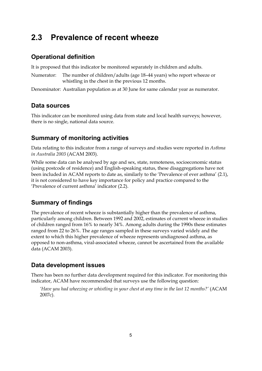## **2.3 Prevalence of recent wheeze**

### **Operational definition**

It is proposed that this indicator be monitored separately in children and adults.

Numerator: The number of children/adults (age 18–44 years) who report wheeze or whistling in the chest in the previous 12 months.

Denominator: Australian population as at 30 June for same calendar year as numerator.

### **Data sources**

This indicator can be monitored using data from state and local health surveys; however, there is no single, national data source.

#### **Summary of monitoring activities**

Data relating to this indicator from a range of surveys and studies were reported in *Asthma in Australia 2003* (ACAM 2003).

While some data can be analysed by age and sex, state, remoteness, socioeconomic status (using postcode of residence) and English-speaking status, these disaggregations have not been included in ACAM reports to date as, similarly to the 'Prevalence of ever asthma' (2.1), it is not considered to have key importance for policy and practice compared to the 'Prevalence of current asthma' indicator (2.2).

## **Summary of findings**

The prevalence of recent wheeze is substantially higher than the prevalence of asthma, particularly among children. Between 1992 and 2002, estimates of current wheeze in studies of children ranged from 16% to nearly 34%. Among adults during the 1990s these estimates ranged from 22 to 26%. The age ranges sampled in these surveys varied widely and the extent to which this higher prevalence of wheeze represents undiagnosed asthma, as opposed to non-asthma, viral-associated wheeze, cannot be ascertained from the available data (ACAM 2003).

#### **Data development issues**

There has been no further data development required for this indicator. For monitoring this indicator, ACAM have recommended that surveys use the following question:

*'Have you had wheezing or whistling in your chest at any time in the last 12 months?'* (ACAM 2007c).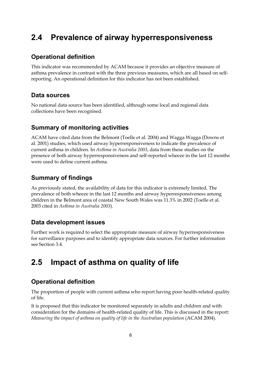## **2.4 Prevalence of airway hyperresponsiveness**

### **Operational definition**

This indicator was recommended by ACAM because it provides an objective measure of asthma prevalence in contrast with the three previous measures, which are all based on selfreporting. An operational definition for this indicator has not been established.

#### **Data sources**

No national data source has been identified, although some local and regional data collections have been recognised.

## **Summary of monitoring activities**

ACAM have cited data from the Belmont (Toelle et al. 2004) and Wagga Wagga (Downs et al. 2001) studies, which used airway hyperresponsiveness to indicate the prevalence of current asthma in children. In *Asthma in Australia 2003*, data from these studies on the presence of both airway hyperresponsiveness and self-reported wheeze in the last 12 months were used to define current asthma.

## **Summary of findings**

As previously stated, the availability of data for this indicator is extremely limited. The prevalence of both wheeze in the last 12 months and airway hyperresponsiveness among children in the Belmont area of coastal New South Wales was 11.3% in 2002 (Toelle et al. 2003 cited in *Asthma in Australia 2003*).

#### **Data development issues**

Further work is required to select the appropriate measure of airway hyperresponsiveness for surveillance purposes and to identify appropriate data sources. For further information see Section 3.4.

## **2.5 Impact of asthma on quality of life**

## **Operational definition**

The proportion of people with current asthma who report having poor health-related quality of life.

It is proposed that this indicator be monitored separately in adults and children and with consideration for the domains of health-related quality of life. This is discussed in the report: *Measuring the impact of asthma on quality of life in the Australian population* (ACAM 2004).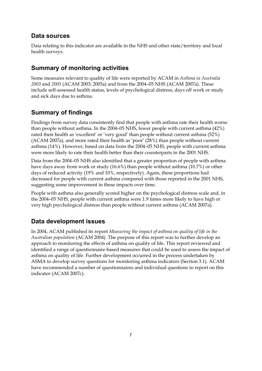## **Data sources**

Data relating to this indicator are available in the NHS and other state/territory and local health surveys.

## **Summary of monitoring activities**

Some measures relevant to quality of life were reported by ACAM in *Asthma in Australia 2003* and *2005* (ACAM 2003; 2005a) and from the 2004–05 NHS (ACAM 2007a). These include self-assessed health status, levels of psychological distress, days off work or study and sick days due to asthma.

## **Summary of findings**

Findings from survey data consistently find that people with asthma rate their health worse than people without asthma. In the 2004–05 NHS, fewer people with current asthma (42%) rated their health as 'excellent' or 'very good' than people without current asthma (52%) (ACAM 2007a), and more rated their health as 'poor' (28%) than people without current asthma (14%). However, based on data from the 2004–05 NHS, people with current asthma were more likely to rate their health better than their counterparts in the 2001 NHS.

Data from the 2004–05 NHS also identified that a greater proportion of people with asthma have days away from work or study (16.6%) than people without asthma (10.7%) or other days of reduced activity (19% and 10%, respectively). Again, these proportions had decreased for people with current asthma compared with those reported in the 2001 NHS, suggesting some improvement in these impacts over time.

People with asthma also generally scored higher on the psychological distress scale and, in the 2004–05 NHS, people with current asthma were 1.9 times more likely to have high or very high psychological distress than people without current asthma (ACAM 2007a).

## **Data development issues**

In 2004, ACAM published its report *Measuring the impact of asthma on quality of life in the Australian population* (ACAM 2004). The purpose of this report was to further develop an approach to monitoring the effects of asthma on quality of life. This report reviewed and identified a range of questionnaire-based measures that could be used to assess the impact of asthma on quality of life. Further development occurred in the process undertaken by ASMA to develop survey questions for monitoring asthma indicators (Section 3.1). ACAM have recommended a number of questionnaires and individual questions to report on this indicator (ACAM 2007c).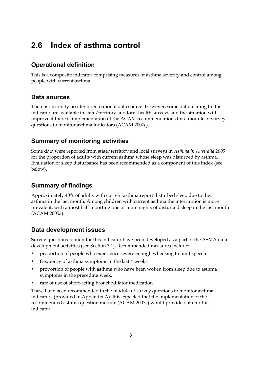## **2.6 Index of asthma control**

## **Operational definition**

This is a composite indicator comprising measures of asthma severity and control among people with current asthma.

## **Data sources**

There is currently no identified national data source. However, some data relating to this indicator are available in state/territory and local health surveys and the situation will improve if there is implementation of the ACAM recommendations for a module of survey questions to monitor asthma indicators (ACAM 2007c).

## **Summary of monitoring activities**

Some data were reported from state/territory and local surveys in *Asthma in Australia 2005*  for the proportion of adults with current asthma whose sleep was disturbed by asthma. Evaluation of sleep disturbance has been recommended as a component of this index (see below).

## **Summary of findings**

Approximately 40% of adults with current asthma report disturbed sleep due to their asthma in the last month. Among children with current asthma the interruption is more prevalent, with almost half reporting one or more nights of disturbed sleep in the last month (ACAM 2005a).

## **Data development issues**

Survey questions to monitor this indicator have been developed as a part of the ASMA data development activities (see Section 3.1). Recommended measures include:

- proportion of people who experience severe enough wheezing to limit speech
- frequency of asthma symptoms in the last 4 weeks
- proportion of people with asthma who have been woken from sleep due to asthma symptoms in the preceding week.
- rate of use of short-acting bronchodilator medication

These have been recommended in the module of survey questions to monitor asthma indicators (provided in Appendix A). It is expected that the implementation of the recommended asthma question module (ACAM 2007c) would provide data for this indicator.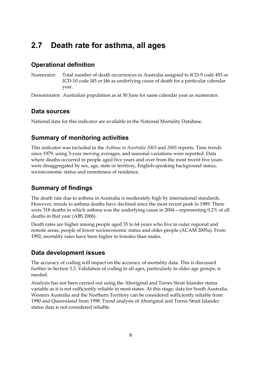## **2.7 Death rate for asthma, all ages**

## **Operational definition**

Numerator: Total number of death occurrences in Australia assigned to ICD-9 code 493 or ICD-10 code J45 or J46 as underlying cause of death for a particular calendar year.

Denominator: Australian population as at 30 June for same calendar year as numerator.

#### **Data sources**

National data for this indicator are available in the National Mortality Database.

## **Summary of monitoring activities**

This indicator was included in the *Asthma in Australia 2003* and *2005* reports. Time trends since 1979, using 3-year moving averages, and seasonal variations were reported. Data where deaths occurred in people aged five years and over from the most recent five years were disaggregated by sex, age, state or territory, English-speaking background status, socioeconomic status and remoteness of residence.

## **Summary of findings**

The death rate due to asthma in Australia is moderately high by international standards. However, trends in asthma deaths have declined since the most recent peak in 1989. There were 318 deaths in which asthma was the underlying cause in 2004—representing 0.2% of all deaths in that year (ABS 2006).

Death rates are higher among people aged 35 to 64 years who live in outer regional and remote areas, people of lower socioeconomic status and older people (ACAM 2005a). From 1992, mortality rates have been higher in females than males.

## **Data development issues**

The accuracy of coding will impact on the accuracy of mortality data. This is discussed further in Section 3.3. Validation of coding in all ages, particularly in older age groups, is needed.

Analysis has not been carried out using the Aboriginal and Torres Strait Islander status variable as it is not sufficiently reliable in most states. At this stage, data for South Australia, Western Australia and the Northern Territory can be considered sufficiently reliable from 1990 and Queensland from 1998. Trend analysis of Aboriginal and Torres Strait Islander status data is not considered reliable.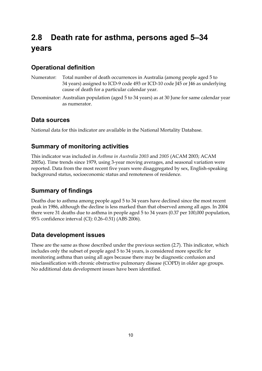## **2.8 Death rate for asthma, persons aged 5–34 years**

## **Operational definition**

- Numerator: Total number of death occurrences in Australia (among people aged 5 to 34 years) assigned to ICD-9 code 493 or ICD-10 code J45 or J46 as underlying cause of death for a particular calendar year.
- Denominator: Australian population (aged 5 to 34 years) as at 30 June for same calendar year as numerator.

## **Data sources**

National data for this indicator are available in the National Mortality Database.

## **Summary of monitoring activities**

This indicator was included in *Asthma in Australia 2003* and *2005* (ACAM 2003; ACAM 2005a). Time trends since 1979, using 3-year moving averages, and seasonal variation were reported. Data from the most recent five years were disaggregated by sex, English-speaking background status, socioeconomic status and remoteness of residence.

## **Summary of findings**

Deaths due to asthma among people aged 5 to 34 years have declined since the most recent peak in 1986, although the decline is less marked than that observed among all ages. In 2004 there were 31 deaths due to asthma in people aged 5 to 34 years (0.37 per 100,000 population, 95% confidence interval (CI): 0.26–0.51) (ABS 2006).

## **Data development issues**

These are the same as those described under the previous section (2.7). This indicator, which includes only the subset of people aged 5 to 34 years, is considered more specific for monitoring asthma than using all ages because there may be diagnostic confusion and misclassification with chronic obstructive pulmonary disease (COPD) in older age groups. No additional data development issues have been identified.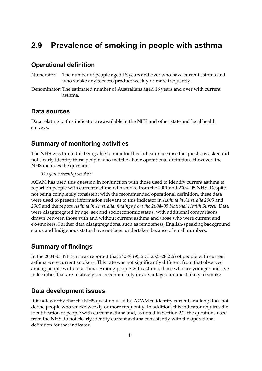## **2.9 Prevalence of smoking in people with asthma**

#### **Operational definition**

- Numerator: The number of people aged 18 years and over who have current asthma and who smoke any tobacco product weekly or more frequently.
- Denominator: The estimated number of Australians aged 18 years and over with current asthma.

#### **Data sources**

Data relating to this indicator are available in the NHS and other state and local health surveys.

#### **Summary of monitoring activities**

The NHS was limited in being able to monitor this indicator because the questions asked did not clearly identify those people who met the above operational definition. However, the NHS includes the question:

*'Do you currently smoke?'* 

ACAM has used this question in conjunction with those used to identify current asthma to report on people with current asthma who smoke from the 2001 and 2004–05 NHS. Despite not being completely consistent with the recommended operational definition, these data were used to present information relevant to this indicator in *Asthma in Australia 2003* and *2005* and the report *Asthma in Australia: findings from the 2004–05 National Health Survey*. Data were disaggregated by age, sex and socioeconomic status, with additional comparisons drawn between those with and without current asthma and those who were current and ex-smokers. Further data disaggregations, such as remoteness, English-speaking background status and Indigenous status have not been undertaken because of small numbers.

#### **Summary of findings**

In the 2004–05 NHS, it was reported that 24.5% (95% CI 23.5–28.2%) of people with current asthma were current smokers. This rate was not significantly different from that observed among people without asthma. Among people with asthma, those who are younger and live in localities that are relatively socioeconomically disadvantaged are most likely to smoke.

#### **Data development issues**

It is noteworthy that the NHS question used by ACAM to identify current smoking does not define people who smoke weekly or more frequently. In addition, this indicator requires the identification of people with current asthma and, as noted in Section 2.2, the questions used from the NHS do not clearly identify current asthma consistently with the operational definition for that indicator.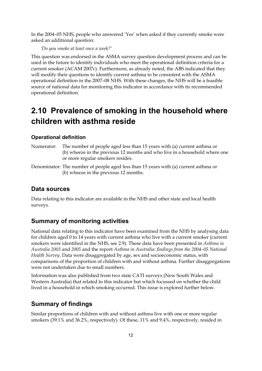In the 2004–05 NHS, people who answered 'Yes' when asked if they currently smoke were asked an additional question:

*'Do you smoke at least once a week?'* 

This question was endorsed in the ASMA survey question development process and can be used in the future to identify individuals who meet the operational definition criteria for a current smoker (ACAM 2007c). Furthermore, as already noted, the ABS indicated that they will modify their questions to identify current asthma to be consistent with the ASMA operational definition in the 2007–08 NHS. With these changes, the NHS will be a feasible source of national data for monitoring this indicator in accordance with its recommended operational definition.

## **2.10 Prevalence of smoking in the household where children with asthma reside**

#### **Operational definition**

- Numerator: The number of people aged less than 15 years with (a) current asthma or (b) wheeze in the previous 12 months and who live in a household where one or more regular smokers resides.
- Denominator: The number of people aged less than 15 years with (a) current asthma or (b) wheeze in the previous 12 months.

#### **Data sources**

Data relating to this indicator are available in the NHS and other state and local health surveys.

#### **Summary of monitoring activities**

National data relating to this indicator have been examined from the NHS by analysing data for children aged 0 to 14 years with current asthma who live with a current smoker (current smokers were identified in the NHS, see 2.9). These data have been presented in *Asthma in Australia 2003* and *2005* and the report *Asthma in Australia: findings from the 2004–05 National Health Survey*. Data were disaggregated by age, sex and socioeconomic status, with comparisons of the proportion of children with and without asthma. Further disaggregations were not undertaken due to small numbers.

Information was also published from two state CATI surveys (New South Wales and Western Australia) that related to this indicator but which focussed on whether the child lived in a household in which smoking occurred. This issue is explored further below.

#### **Summary of findings**

Similar proportions of children with and without asthma live with one or more regular smokers (39.1% and 36.2%, respectively). Of these, 11% and 9.4%, respectively, resided in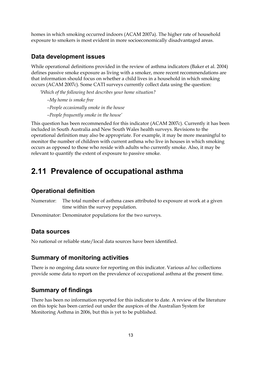homes in which smoking occurred indoors (ACAM 2007a). The higher rate of household exposure to smokers is most evident in more socioeconomically disadvantaged areas.

#### **Data development issues**

While operational definitions provided in the review of asthma indicators (Baker et al. 2004) defines passive smoke exposure as living with a smoker, more recent recommendations are that information should focus on whether a child lives in a household in which smoking occurs (ACAM 2007c). Some CATI surveys currently collect data using the question:

*'Which of the following best describes your home situation?* 

*–My home is smoke free* 

*–People occasionally smoke in the house* 

*–People frequently smoke in the house'* 

This question has been recommended for this indicator (ACAM 2007c). Currently it has been included in South Australia and New South Wales health surveys. Revisions to the operational definition may also be appropriate. For example, it may be more meaningful to monitor the number of children with current asthma who live in houses in which smoking occurs as opposed to those who reside with adults who currently smoke. Also, it may be relevant to quantify the extent of exposure to passive smoke.

## **2.11 Prevalence of occupational asthma**

#### **Operational definition**

Numerator: The total number of asthma cases attributed to exposure at work at a given time within the survey population.

Denominator: Denominator populations for the two surveys.

#### **Data sources**

No national or reliable state/local data sources have been identified.

#### **Summary of monitoring activities**

There is no ongoing data source for reporting on this indicator. Various *ad hoc* collections provide some data to report on the prevalence of occupational asthma at the present time.

#### **Summary of findings**

There has been no information reported for this indicator to date. A review of the literature on this topic has been carried out under the auspices of the Australian System for Monitoring Asthma in 2006, but this is yet to be published.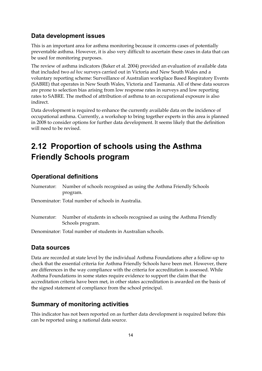## **Data development issues**

This is an important area for asthma monitoring because it concerns cases of potentially preventable asthma. However, it is also very difficult to ascertain these cases in data that can be used for monitoring purposes.

The review of asthma indicators (Baker et al. 2004) provided an evaluation of available data that included two *ad hoc* surveys carried out in Victoria and New South Wales and a voluntary reporting scheme: Surveillance of Australian workplace Based Respiratory Events (SABRE) that operates in New South Wales, Victoria and Tasmania. All of these data sources are prone to selection bias arising from low response rates in surveys and low reporting rates to SABRE. The method of attribution of asthma to an occupational exposure is also indirect.

Data development is required to enhance the currently available data on the incidence of occupational asthma. Currently, a workshop to bring together experts in this area is planned in 2008 to consider options for further data development. It seems likely that the definition will need to be revised.

## **2.12 Proportion of schools using the Asthma Friendly Schools program**

#### **Operational definitions**

Numerator: Number of schools recognised as using the Asthma Friendly Schools program.

Denominator: Total number of schools in Australia.

Numerator: Number of students in schools recognised as using the Asthma Friendly Schools program.

Denominator: Total number of students in Australian schools.

#### **Data sources**

Data are recorded at state level by the individual Asthma Foundations after a follow-up to check that the essential criteria for Asthma Friendly Schools have been met. However, there are differences in the way compliance with the criteria for accreditation is assessed. While Asthma Foundations in some states require evidence to support the claim that the accreditation criteria have been met, in other states accreditation is awarded on the basis of the signed statement of compliance from the school principal.

#### **Summary of monitoring activities**

This indicator has not been reported on as further data development is required before this can be reported using a national data source.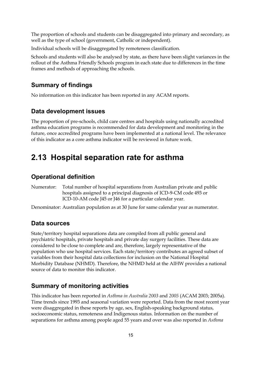The proportion of schools and students can be disaggregated into primary and secondary, as well as the type of school (government, Catholic or independent).

Individual schools will be disaggregated by remoteness classification.

Schools and students will also be analysed by state, as there have been slight variances in the rollout of the Asthma Friendly Schools program in each state due to differences in the time frames and methods of approaching the schools.

#### **Summary of findings**

No information on this indicator has been reported in any ACAM reports.

#### **Data development issues**

The proportion of pre-schools, child care centres and hospitals using nationally accredited asthma education programs is recommended for data development and monitoring in the future, once accredited programs have been implemented at a national level. The relevance of this indicator as a core asthma indicator will be reviewed in future work.

## **2.13 Hospital separation rate for asthma**

#### **Operational definition**

Numerator: Total number of hospital separations from Australian private and public hospitals assigned to a principal diagnosis of ICD-9-CM code 493 or ICD-10-AM code J45 or J46 for a particular calendar year.

Denominator: Australian population as at 30 June for same calendar year as numerator.

#### **Data sources**

State/territory hospital separations data are compiled from all public general and psychiatric hospitals, private hospitals and private day surgery facilities. These data are considered to be close to complete and are, therefore, largely representative of the population who use hospital services. Each state/territory contributes an agreed subset of variables from their hospital data collections for inclusion on the National Hospital Morbidity Database (NHMD). Therefore, the NHMD held at the AIHW provides a national source of data to monitor this indicator.

#### **Summary of monitoring activities**

This indicator has been reported in *Asthma in Australia 2003* and *2005* (ACAM 2003; 2005a). Time trends since 1993 and seasonal variation were reported. Data from the most recent year were disaggregated in these reports by age, sex, English-speaking background status, socioeconomic status, remoteness and Indigenous status. Information on the number of separations for asthma among people aged 55 years and over was also reported in *Asthma*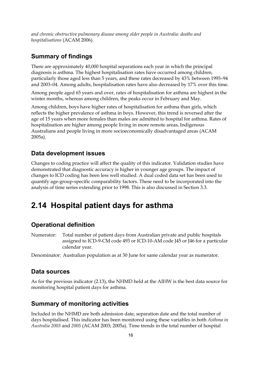*and chronic obstructive pulmonary disease among older people in Australia: deaths and hospitalisations* (ACAM 2006).

#### **Summary of findings**

There are approximately 40,000 hospital separations each year in which the principal diagnosis is asthma. The highest hospitalisation rates have occurred among children, particularly those aged less than 5 years, and these rates decreased by 43% between 1993–94 and 2003–04. Among adults, hospitalisation rates have also decreased by 17% over this time.

Among people aged 65 years and over, rates of hospitalisation for asthma are highest in the winter months, whereas among children, the peaks occur in February and May.

Among children, boys have higher rates of hospitalisation for asthma than girls, which reflects the higher prevalence of asthma in boys. However, this trend is reversed after the age of 15 years when more females than males are admitted to hospital for asthma. Rates of hospitalisation are higher among people living in more remote areas, Indigenous Australians and people living in more socioeconomically disadvantaged areas (ACAM 2005a).

#### **Data development issues**

Changes to coding practice will affect the quality of this indicator. Validation studies have demonstrated that diagnostic accuracy is higher in younger age groups. The impact of changes to ICD coding has been less well studied. A dual coded data set has been used to quantify age-group-specific comparability factors. These need to be incorporated into the analysis of time series extending prior to 1998. This is also discussed in Section 3.3.

## **2.14 Hospital patient days for asthma**

#### **Operational definition**

Numerator: Total number of patient days from Australian private and public hospitals assigned to ICD-9-CM code 493 or ICD-10-AM code J45 or J46 for a particular calendar year.

Denominator: Australian population as at 30 June for same calendar year as numerator.

#### **Data sources**

As for the previous indicator (2.13), the NHMD held at the AIHW is the best data source for monitoring hospital patient days for asthma.

#### **Summary of monitoring activities**

Included in the NHMD are both admission date, separation date and the total number of days hospitalised. This indicator has been monitored using these variables in both *Asthma in Australia 2003* and *2005* (ACAM 2003; 2005a). Time trends in the total number of hospital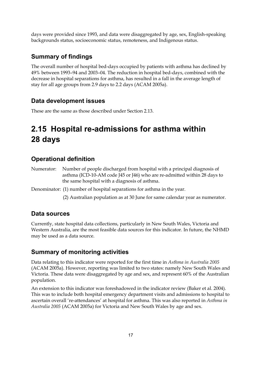days were provided since 1993, and data were disaggregated by age, sex, English-speaking backgrounds status, socioeconomic status, remoteness, and Indigenous status.

#### **Summary of findings**

The overall number of hospital bed-days occupied by patients with asthma has declined by 49% between 1993–94 and 2003–04. The reduction in hospital bed-days, combined with the decrease in hospital separations for asthma, has resulted in a fall in the average length of stay for all age groups from 2.9 days to 2.2 days (ACAM 2005a).

### **Data development issues**

These are the same as those described under Section 2.13.

## **2.15 Hospital re-admissions for asthma within 28 days**

### **Operational definition**

Numerator: Number of people discharged from hospital with a principal diagnosis of asthma (ICD-10-AM code J45 or J46) who are re-admitted within 28 days to the same hospital with a diagnosis of asthma.

Denominator: (1) number of hospital separations for asthma in the year.

(2) Australian population as at 30 June for same calendar year as numerator.

#### **Data sources**

Currently, state hospital data collections, particularly in New South Wales, Victoria and Western Australia, are the most feasible data sources for this indicator. In future, the NHMD may be used as a data source.

#### **Summary of monitoring activities**

Data relating to this indicator were reported for the first time in *Asthma in Australia 2005* (ACAM 2005a). However, reporting was limited to two states: namely New South Wales and Victoria. These data were disaggregated by age and sex, and represent 60% of the Australian population.

An extension to this indicator was foreshadowed in the indicator review (Baker et al. 2004). This was to include both hospital emergency department visits and admissions to hospital to ascertain overall 're-attendances' at hospital for asthma. This was also reported in *Asthma in Australia 2005* (ACAM 2005a) for Victoria and New South Wales by age and sex.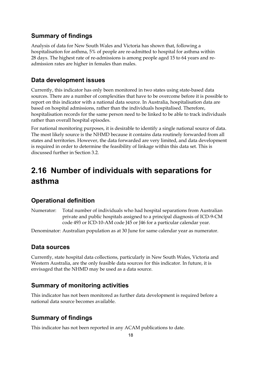## **Summary of findings**

Analysis of data for New South Wales and Victoria has shown that, following a hospitalisation for asthma, 5% of people are re-admitted to hospital for asthma within 28 days. The highest rate of re-admissions is among people aged 15 to 64 years and readmission rates are higher in females than males.

## **Data development issues**

Currently, this indicator has only been monitored in two states using state-based data sources. There are a number of complexities that have to be overcome before it is possible to report on this indicator with a national data source. In Australia, hospitalisation data are based on hospital admissions, rather than the individuals hospitalised. Therefore, hospitalisation records for the same person need to be linked to be able to track individuals rather than overall hospital episodes.

For national monitoring purposes, it is desirable to identify a single national source of data. The most likely source is the NHMD because it contains data routinely forwarded from all states and territories. However, the data forwarded are very limited, and data development is required in order to determine the feasibility of linkage within this data set. This is discussed further in Section 3.2.

## **2.16 Number of individuals with separations for asthma**

## **Operational definition**

Numerator: Total number of individuals who had hospital separations from Australian private and public hospitals assigned to a principal diagnosis of ICD-9-CM code 493 or ICD-10-AM code J45 or J46 for a particular calendar year.

Denominator: Australian population as at 30 June for same calendar year as numerator.

## **Data sources**

Currently, state hospital data collections, particularly in New South Wales, Victoria and Western Australia, are the only feasible data sources for this indicator. In future, it is envisaged that the NHMD may be used as a data source.

## **Summary of monitoring activities**

This indicator has not been monitored as further data development is required before a national data source becomes available.

## **Summary of findings**

This indicator has not been reported in any ACAM publications to date.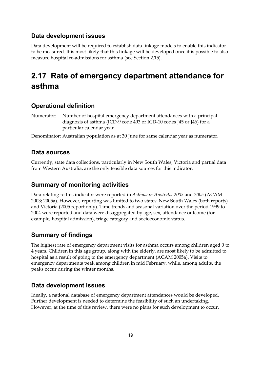## **Data development issues**

Data development will be required to establish data linkage models to enable this indicator to be measured. It is most likely that this linkage will be developed once it is possible to also measure hospital re-admissions for asthma (see Section 2.15).

## **2.17 Rate of emergency department attendance for asthma**

## **Operational definition**

Numerator: Number of hospital emergency department attendances with a principal diagnosis of asthma (ICD-9 code 493 or ICD-10 codes J45 or J46) for a particular calendar year

Denominator: Australian population as at 30 June for same calendar year as numerator.

## **Data sources**

Currently, state data collections, particularly in New South Wales, Victoria and partial data from Western Australia, are the only feasible data sources for this indicator.

## **Summary of monitoring activities**

Data relating to this indicator were reported in *Asthma in Australia 2003* and *2005* (ACAM 2003; 2005a). However, reporting was limited to two states: New South Wales (both reports) and Victoria (2005 report only). Time trends and seasonal variation over the period 1999 to 2004 were reported and data were disaggregated by age, sex, attendance outcome (for example, hospital admission), triage category and socioeconomic status.

## **Summary of findings**

The highest rate of emergency department visits for asthma occurs among children aged 0 to 4 years. Children in this age group, along with the elderly, are most likely to be admitted to hospital as a result of going to the emergency department (ACAM 2005a). Visits to emergency departments peak among children in mid February, while, among adults, the peaks occur during the winter months.

## **Data development issues**

Ideally, a national database of emergency department attendances would be developed. Further development is needed to determine the feasibility of such an undertaking. However, at the time of this review, there were no plans for such development to occur.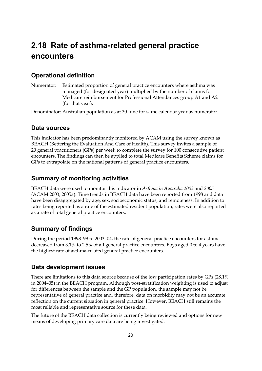## **2.18 Rate of asthma-related general practice encounters**

### **Operational definition**

Numerator: Estimated proportion of general practice encounters where asthma was managed (for designated year) multiplied by the number of claims for Medicare reimbursement for Professional Attendances group A1 and A2 (for that year).

Denominator: Australian population as at 30 June for same calendar year as numerator.

#### **Data sources**

This indicator has been predominantly monitored by ACAM using the survey known as BEACH (Bettering the Evaluation And Care of Health). This survey invites a sample of 20 general practitioners (GPs) per week to complete the survey for 100 consecutive patient encounters. The findings can then be applied to total Medicare Benefits Scheme claims for GPs to extrapolate on the national patterns of general practice encounters.

#### **Summary of monitoring activities**

BEACH data were used to monitor this indicator in *Asthma in Australia 2003* and *2005* (ACAM 2003; 2005a). Time trends in BEACH data have been reported from 1998 and data have been disaggregated by age, sex, socioeconomic status, and remoteness. In addition to rates being reported as a rate of the estimated resident population, rates were also reported as a rate of total general practice encounters.

#### **Summary of findings**

During the period 1998–99 to 2003–04, the rate of general practice encounters for asthma decreased from 3.1% to 2.5% of all general practice encounters. Boys aged 0 to 4 years have the highest rate of asthma-related general practice encounters.

#### **Data development issues**

There are limitations to this data source because of the low participation rates by GPs (28.1% in 2004–05) in the BEACH program. Although post-stratification weighting is used to adjust for differences between the sample and the GP population, the sample may not be representative of general practice and, therefore, data on morbidity may not be an accurate reflection on the current situation in general practice. However, BEACH still remains the most reliable and representative source for these data.

The future of the BEACH data collection is currently being reviewed and options for new means of developing primary care data are being investigated.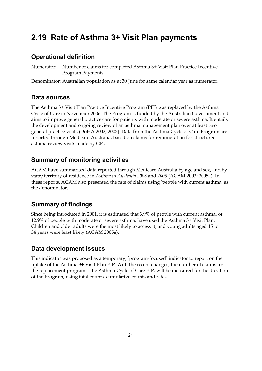## **2.19 Rate of Asthma 3+ Visit Plan payments**

## **Operational definition**

Numerator: Number of claims for completed Asthma 3+ Visit Plan Practice Incentive Program Payments.

Denominator: Australian population as at 30 June for same calendar year as numerator.

## **Data sources**

The Asthma 3+ Visit Plan Practice Incentive Program (PIP) was replaced by the Asthma Cycle of Care in November 2006. The Program is funded by the Australian Government and aims to improve general practice care for patients with moderate or severe asthma. It entails the development and ongoing review of an asthma management plan over at least two general practice visits (DoHA 2002; 2003). Data from the Asthma Cycle of Care Program are reported through Medicare Australia, based on claims for remuneration for structured asthma review visits made by GPs.

## **Summary of monitoring activities**

ACAM have summarised data reported through Medicare Australia by age and sex, and by state/territory of residence in *Asthma in Australia 2003* and *2005* (ACAM 2003; 2005a). In these reports, ACAM also presented the rate of claims using 'people with current asthma' as the denominator.

## **Summary of findings**

Since being introduced in 2001, it is estimated that 3.9% of people with current asthma, or 12.9% of people with moderate or severe asthma, have used the Asthma 3+ Visit Plan. Children and older adults were the most likely to access it, and young adults aged 15 to 34 years were least likely (ACAM 2005a).

## **Data development issues**

This indicator was proposed as a temporary, 'program-focused' indicator to report on the uptake of the Asthma 3+ Visit Plan PIP. With the recent changes, the number of claims for the replacement program—the Asthma Cycle of Care PIP, will be measured for the duration of the Program, using total counts, cumulative counts and rates.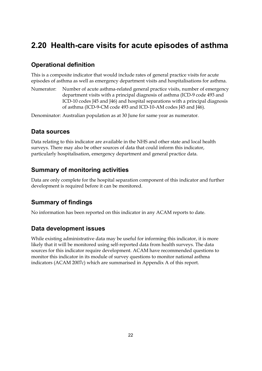## **2.20 Health-care visits for acute episodes of asthma**

## **Operational definition**

This is a composite indicator that would include rates of general practice visits for acute episodes of asthma as well as emergency department visits and hospitalisations for asthma.

Numerator: Number of acute asthma-related general practice visits, number of emergency department visits with a principal diagnosis of asthma (ICD-9 code 493 and ICD-10 codes J45 and J46) and hospital separations with a principal diagnosis of asthma (ICD-9-CM code 493 and ICD-10-AM codes J45 and J46).

Denominator: Australian population as at 30 June for same year as numerator.

### **Data sources**

Data relating to this indicator are available in the NHS and other state and local health surveys. There may also be other sources of data that could inform this indicator, particularly hospitalisation, emergency department and general practice data.

## **Summary of monitoring activities**

Data are only complete for the hospital separation component of this indicator and further development is required before it can be monitored.

## **Summary of findings**

No information has been reported on this indicator in any ACAM reports to date.

## **Data development issues**

While existing administrative data may be useful for informing this indicator, it is more likely that it will be monitored using self-reported data from health surveys. The data sources for this indicator require development. ACAM have recommended questions to monitor this indicator in its module of survey questions to monitor national asthma indicators (ACAM 2007c) which are summarised in Appendix A of this report.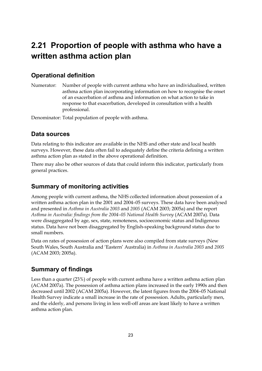## **2.21 Proportion of people with asthma who have a written asthma action plan**

## **Operational definition**

Numerator: Number of people with current asthma who have an individualised, written asthma action plan incorporating information on how to recognise the onset of an exacerbation of asthma and information on what action to take in response to that exacerbation, developed in consultation with a health professional.

Denominator: Total population of people with asthma.

### **Data sources**

Data relating to this indicator are available in the NHS and other state and local health surveys. However, these data often fail to adequately define the criteria defining a written asthma action plan as stated in the above operational definition.

There may also be other sources of data that could inform this indicator, particularly from general practices.

## **Summary of monitoring activities**

Among people with current asthma, the NHS collected information about possession of a written asthma action plan in the 2001 and 2004–05 surveys. These data have been analysed and presented in *Asthma in Australia 2003* and *2005* (ACAM 2003; 2005a) and the report *Asthma in Australia: findings from the 2004–05 National Health Survey* (ACAM 2007a). Data were disaggregated by age, sex, state, remoteness, socioeconomic status and Indigenous status. Data have not been disaggregated by English-speaking background status due to small numbers.

Data on rates of possession of action plans were also compiled from state surveys (New South Wales, South Australia and 'Eastern' Australia) in *Asthma in Australia 2003* and *2005* (ACAM 2003; 2005a).

## **Summary of findings**

Less than a quarter (23%) of people with current asthma have a written asthma action plan (ACAM 2007a). The possession of asthma action plans increased in the early 1990s and then decreased until 2002 (ACAM 2005a). However, the latest figures from the 2004–05 National Health Survey indicate a small increase in the rate of possession. Adults, particularly men, and the elderly, and persons living in less well-off areas are least likely to have a written asthma action plan.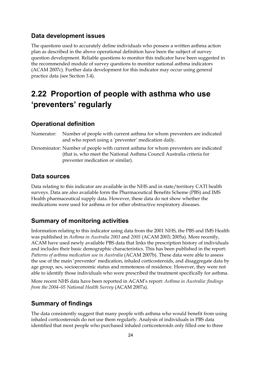#### **Data development issues**

The questions used to accurately define individuals who possess a written asthma action plan as described in the above operational definition have been the subject of survey question development. Reliable questions to monitor this indicator have been suggested in the recommended module of survey questions to monitor national asthma indicators (ACAM 2007c). Further data development for this indicator may occur using general practice data (see Section 3.4).

## **2.22 Proportion of people with asthma who use 'preventers' regularly**

#### **Operational definition**

Numerator: Number of people with current asthma for whom preventers are indicated and who report using a 'preventer' medication daily.

Denominator: Number of people with current asthma for whom preventers are indicated (that is, who meet the National Asthma Council Australia criteria for preventer medication or similar).

#### **Data sources**

Data relating to this indicator are available in the NHS and in state/territory CATI health surveys. Data are also available form the Pharmaceutical Benefits Scheme (PBS) and IMS Health pharmaceutical supply data. However, these data do not show whether the medications were used for asthma or for other obstructive respiratory diseases.

#### **Summary of monitoring activities**

Information relating to this indicator using data from the 2001 NHS, the PBS and IMS Health was published in *Asthma in Australia 2003* and *2005* (ACAM 2003; 2005a). More recently, ACAM have used newly available PBS data that links the prescription history of individuals and includes their basic demographic characteristics. This has been published in the report: *Patterns of asthma medication use in Australia* (ACAM 2007b). These data were able to assess the use of the main 'preventer' medication, inhaled corticosteroids, and disaggregate data by age group, sex, socioeconomic status and remoteness of residence. However, they were not able to identify those individuals who were prescribed the treatment specifically for asthma.

More recent NHS data have been reported in ACAM's report: *Asthma in Australia: findings from the 2004–05 National Health Survey* (ACAM 2007a).

#### **Summary of findings**

The data consistently suggest that many people with asthma who would benefit from using inhaled corticosteroids do not use them regularly. Analysis of individuals in PBS data identified that most people who purchased inhaled corticosteroids only filled one to three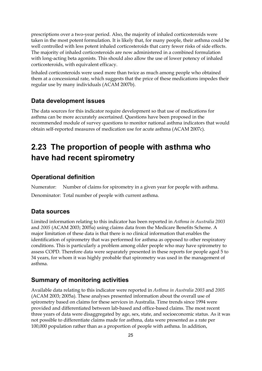prescriptions over a two-year period. Also, the majority of inhaled corticosteroids were taken in the most potent formulation. It is likely that, for many people, their asthma could be well controlled with less potent inhaled corticosteroids that carry fewer risks of side effects. The majority of inhaled corticosteroids are now administered in a combined formulation with long-acting beta agonists. This should also allow the use of lower potency of inhaled corticosteroids, with equivalent efficacy.

Inhaled corticosteroids were used more than twice as much among people who obtained them at a concessional rate, which suggests that the price of these medications impedes their regular use by many individuals (ACAM 2007b).

### **Data development issues**

The data sources for this indicator require development so that use of medications for asthma can be more accurately ascertained. Questions have been proposed in the recommended module of survey questions to monitor national asthma indicators that would obtain self-reported measures of medication use for acute asthma (ACAM 2007c).

## **2.23 The proportion of people with asthma who have had recent spirometry**

#### **Operational definition**

Numerator: Number of claims for spirometry in a given year for people with asthma. Denominator: Total number of people with current asthma.

#### **Data sources**

Limited information relating to this indicator has been reported in *Asthma in Australia 2003* and *2005* (ACAM 2003; 2005a) using claims data from the Medicare Benefits Scheme. A major limitation of these data is that there is no clinical information that enables the identification of spirometry that was performed for asthma as opposed to other respiratory conditions. This is particularly a problem among older people who may have spirometry to assess COPD. Therefore data were separately presented in these reports for people aged 5 to 34 years, for whom it was highly probable that spirometry was used in the management of asthma.

#### **Summary of monitoring activities**

Available data relating to this indicator were reported in *Asthma in Australia 2003* and *2005* (ACAM 2003; 2005a)*.* These analyses presented information about the overall use of spirometry based on claims for these services in Australia. Time trends since 1994 were provided and differentiated between lab-based and office-based claims. The most recent three years of data were disaggregated by age, sex, state, and socioeconomic status. As it was not possible to differentiate claims made for asthma, data were presented as a rate per 100,000 population rather than as a proportion of people with asthma. In addition,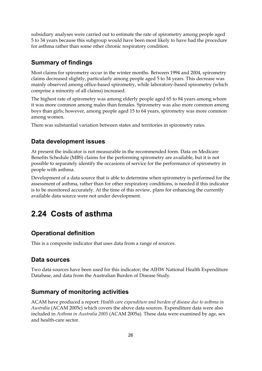subsidiary analyses were carried out to estimate the rate of spirometry among people aged 5 to 34 years because this subgroup would have been most likely to have had the procedure for asthma rather than some other chronic respiratory condition.

## **Summary of findings**

Most claims for spirometry occur in the winter months. Between 1994 and 2004, spirometry claims decreased slightly, particularly among people aged 5 to 34 years. This decrease was mainly observed among office-based spirometry, while laboratory-based spirometry (which comprise a minority of all claims) increased.

The highest rate of spirometry was among elderly people aged 65 to 84 years among whom it was more common among males than females. Spirometry was also more common among boys than girls; however, among people aged 15 to 64 years, spirometry was more common among women.

There was substantial variation between states and territories in spirometry rates.

## **Data development issues**

At present the indicator is not measurable in the recommended form. Data on Medicare Benefits Schedule (MBS) claims for the performing spirometry are available, but it is not possible to separately identify the occasions of service for the performance of spirometry in people with asthma.

Development of a data source that is able to determine when spirometry is performed for the assessment of asthma, rather than for other respiratory conditions, is needed if this indicator is to be monitored accurately. At the time of this review, plans for enhancing the currently available data source were not under development.

## **2.24 Costs of asthma**

## **Operational definition**

This is a composite indicator that uses data from a range of sources.

## **Data sources**

Two data sources have been used for this indicator; the AIHW National Health Expenditure Database, and data from the Australian Burden of Disease Study.

## **Summary of monitoring activities**

ACAM have produced a report: *Health care expenditure and burden of disease due to asthma in Australia* (ACAM 2005c) which covers the above data sources. Expenditure data were also included in *Asthma in Australia 2005* (ACAM 2005a)*.* These data were examined by age, sex and health-care sector.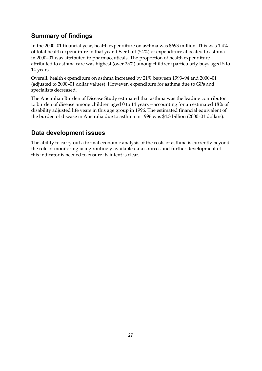## **Summary of findings**

In the 2000–01 financial year, health expenditure on asthma was \$693 million. This was 1.4% of total health expenditure in that year. Over half (54%) of expenditure allocated to asthma in 2000–01 was attributed to pharmaceuticals. The proportion of health expenditure attributed to asthma care was highest (over 25%) among children; particularly boys aged 5 to 14 years.

Overall, health expenditure on asthma increased by 21% between 1993–94 and 2000–01 (adjusted to 2000–01 dollar values). However, expenditure for asthma due to GPs and specialists decreased.

The Australian Burden of Disease Study estimated that asthma was the leading contributor to burden of disease among children aged 0 to 14 years—accounting for an estimated 18% of disability adjusted life years in this age group in 1996. The estimated financial equivalent of the burden of disease in Australia due to asthma in 1996 was \$4.3 billion (2000–01 dollars).

## **Data development issues**

The ability to carry out a formal economic analysis of the costs of asthma is currently beyond the role of monitoring using routinely available data sources and further development of this indicator is needed to ensure its intent is clear.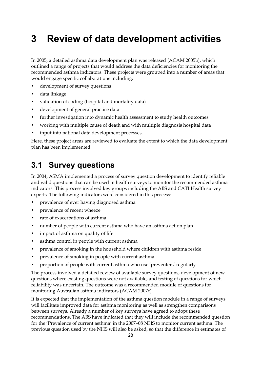# **3 Review of data development activities**

In 2005, a detailed asthma data development plan was released (ACAM 2005b), which outlined a range of projects that would address the data deficiencies for monitoring the recommended asthma indicators. These projects were grouped into a number of areas that would engage specific collaborations including:

- development of survey questions
- data linkage
- validation of coding (hospital and mortality data)
- development of general practice data
- further investigation into dynamic health assessment to study health outcomes
- working with multiple cause of death and with multiple diagnosis hospital data
- input into national data development processes.

Here, these project areas are reviewed to evaluate the extent to which the data development plan has been implemented.

## **3.1 Survey questions**

In 2004, ASMA implemented a process of survey question development to identify reliable and valid questions that can be used in health surveys to monitor the recommended asthma indicators. This process involved key groups including the ABS and CATI Health survey experts. The following indicators were considered in this process:

- prevalence of ever having diagnosed asthma
- prevalence of recent wheeze
- rate of exacerbations of asthma
- number of people with current asthma who have an asthma action plan
- impact of asthma on quality of life
- asthma control in people with current asthma
- prevalence of smoking in the household where children with asthma reside
- prevalence of smoking in people with current asthma
- proportion of people with current asthma who use 'preventers' regularly.

The process involved a detailed review of available survey questions, development of new questions where existing questions were not available, and testing of questions for which reliability was uncertain. The outcome was a recommended module of questions for monitoring Australian asthma indicators (ACAM 2007c).

It is expected that the implementation of the asthma question module in a range of surveys will facilitate improved data for asthma monitoring as well as strengthen comparisons between surveys. Already a number of key surveys have agreed to adopt these recommendations. The ABS have indicated that they will include the recommended question for the 'Prevalence of current asthma' in the 2007–08 NHS to monitor current asthma. The previous question used by the NHS will also be asked, so that the difference in estimates of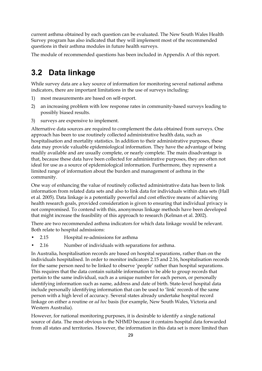current asthma obtained by each question can be evaluated. The New South Wales Health Survey program has also indicated that they will implement most of the recommended questions in their asthma modules in future health surveys.

The module of recommended questions has been included in Appendix A of this report.

## **3.2 Data linkage**

While survey data are a key source of information for monitoring several national asthma indicators, there are important limitations in the use of surveys including:

- 1) most measurements are based on self-report.
- 2) an increasing problem with low response rates in community-based surveys leading to possibly biased results.
- 3) surveys are expensive to implement.

Alternative data sources are required to complement the data obtained from surveys. One approach has been to use routinely collected administrative health data, such as hospitalisation and mortality statistics. In addition to their administrative purposes, these data may provide valuable epidemiological information. They have the advantage of being readily available and are usually complete, or nearly complete. The main disadvantage is that, because these data have been collected for administrative purposes, they are often not ideal for use as a source of epidemiological information. Furthermore, they represent a limited range of information about the burden and management of asthma in the community.

One way of enhancing the value of routinely collected administrative data has been to link information from related data sets and also to link data for individuals within data sets (Hall et al. 2005). Data linkage is a potentially powerful and cost effective means of achieving health research goals, provided consideration is given to ensuring that individual privacy is not compromised. To contend with this, anonymous linkage methods have been developed that might increase the feasibility of this approach to research (Kelman et al. 2002).

There are two recommended asthma indicators for which data linkage would be relevant. Both relate to hospital admissions:

- 2.15 Hospital re-admissions for asthma
- 2.16 Number of individuals with separations for asthma.

In Australia, hospitalisation records are based on hospital separations, rather than on the individuals hospitalised. In order to monitor indicators 2.15 and 2.16, hospitalisation records for the same person need to be linked to observe 'people' rather than hospital separations. This requires that the data contain suitable information to be able to group records that pertain to the same individual, such as a unique number for each person, or personally identifying information such as name, address and date of birth. State-level hospital data include personally identifying information that can be used to 'link' records of the same person with a high level of accuracy. Several states already undertake hospital record linkage on either a routine or *ad hoc* basis (for example, New South Wales, Victoria and Western Australia).

However, for national monitoring purposes, it is desirable to identify a single national source of data. The most obvious is the NHMD because it contains hospital data forwarded from all states and territories. However, the information in this data set is more limited than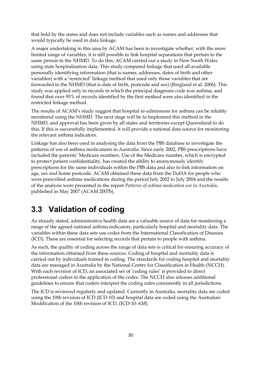that held by the states and does not include variables such as names and addresses that would typically be used in data linkage.

A major undertaking in this area by ACAM has been to investigate whether, with the more limited range of variables, it is still possible to link hospital separations that pertain to the same person in the NHMD. To do this, ACAM carried out a study in New South Wales using state hospitalisation data. This study compared linkage that used all available personally identifying information (that is names, addresses, dates of birth and other variables) with a 'restricted' linkage method that used only those variables that are forwarded to the NHMD (that is date of birth, postcode and sex) (Ringland et al. 2006). This study was applied only to records in which the principal diagnosis code was asthma, and found that over 95% of records identified by the first method were also identified in the restricted linkage method.

The results of ACAM's study suggest that hospital re-admissions for asthma can be reliably monitored using the NHMD. The next stage will be to implement this method in the NHMD, and approval has been given by all states and territories except Queensland to do this. If this is successfully implemented, it will provide a national data source for monitoring the relevant asthma indicators.

Linkage has also been used in analysing the data from the PBS database to investigate the patterns of use of asthma medications in Australia. Since early 2002, PBS prescriptions have included the patients' Medicare numbers. Use of the Medicare number, which is encrypted to protect patient confidentiality, has created the ability to anonymously identify prescriptions for the same individuals within the PBS data and also to link information on age, sex and home postcode. ACAM obtained these data from the DoHA for people who were prescribed asthma medications during the period July 2002 to July 2004 and the results of the analysis were presented in the report *Patterns of asthma medication use in Australia*, published in May 2007 (ACAM 2007b).

## **3.3 Validation of coding**

As already stated, administrative health data are a valuable source of data for monitoring a range of the agreed national asthma indicators, particularly hospital and mortality data. The variables within these data sets use codes from the International Classification of Diseases (ICD). These are essential for selecting records that pertain to people with asthma.

As such, the quality of coding across the range of data sets is critical for ensuring accuracy of the information obtained from these sources. Coding of hospital and mortality data is carried out by individuals trained in coding. The standards for coding hospital and mortality data are managed in Australia by the National Centre for Classification in Health (NCCH). With each revision of ICD, an associated set of 'coding rules' is provided to direct professional coders in the application of the codes. The NCCH also releases additional guidelines to ensure that coders interpret the coding rules consistently in all jurisdictions.

The ICD is reviewed regularly and updated. Currently in Australia, mortality data are coded using the 10th revision of ICD (ICD-10) and hospital data are coded using the Australian Modification of the 10th revision of ICD, (ICD-10-AM).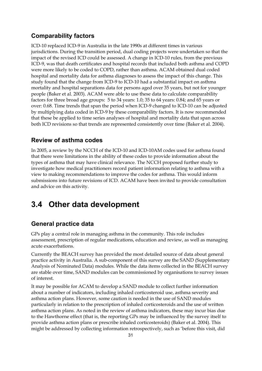### **Comparability factors**

ICD-10 replaced ICD-9 in Australia in the late 1990s at different times in various jurisdictions. During the transition period, dual coding projects were undertaken so that the impact of the revised ICD could be assessed. A change in ICD-10 rules, from the previous ICD-9, was that death certificates and hospital records that included both asthma and COPD were more likely to be coded to COPD, rather than asthma. ACAM obtained dual coded hospital and mortality data for asthma diagnoses to assess the impact of this change. This study found that the change from ICD-9 to ICD-10 had a substantial impact on asthma mortality and hospital separations data for persons aged over 35 years, but not for younger people (Baker et al. 2003). ACAM were able to use these data to calculate comparability factors for three broad age groups: 5 to 34 years: 1.0; 35 to 64 years: 0.84; and 65 years or over: 0.68. Time trends that span the period when ICD-9 changed to ICD-10 can be adjusted by multiplying data coded in ICD-9 by these comparability factors. It is now recommended that these be applied to time series analyses of hospital and mortality data that span across both ICD revisions so that trends are represented consistently over time (Baker et al. 2004).

#### **Review of asthma codes**

In 2005, a review by the NCCH of the ICD-10 and ICD-10AM codes used for asthma found that there were limitations in the ability of these codes to provide information about the types of asthma that may have clinical relevance. The NCCH proposed further study to investigate how medical practitioners record patient information relating to asthma with a view to making recommendations to improve the codes for asthma. This would inform submissions into future revisions of ICD. ACAM have been invited to provide consultation and advice on this activity.

## **3.4 Other data development**

#### **General practice data**

GPs play a central role in managing asthma in the community. This role includes assessment, prescription of regular medications, education and review, as well as managing acute exacerbations.

Currently the BEACH survey has provided the most detailed source of data about general practice activity in Australia. A sub-component of this survey are the SAND (Supplementary Analysis of Nominated Data) modules. While the data items collected in the BEACH survey are stable over time, SAND modules can be commissioned by organisations to survey issues of interest.

It may be possible for ACAM to develop a SAND module to collect further information about a number of indicators, including inhaled corticosteroid use, asthma severity and asthma action plans. However, some caution is needed in the use of SAND modules particularly in relation to the prescription of inhaled corticosteroids and the use of written asthma action plans. As noted in the review of asthma indicators, these may incur bias due to the Hawthorne effect (that is, the reporting GPs may be influenced by the survey itself to provide asthma action plans or prescribe inhaled corticosteroids) (Baker et al. 2004). This might be addressed by collecting information retrospectively, such as 'before this visit, did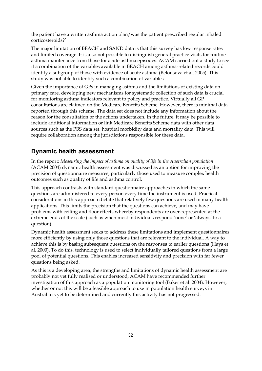the patient have a written asthma action plan/was the patient prescribed regular inhaled corticosteroids?'

The major limitation of BEACH and SAND data is that this survey has low response rates and limited coverage. It is also not possible to distinguish general practice visits for routine asthma maintenance from those for acute asthma episodes. ACAM carried out a study to see if a combination of the variables available in BEACH among asthma-related records could identify a subgroup of those with evidence of acute asthma (Belousova et al. 2005). This study was not able to identify such a combination of variables.

Given the importance of GPs in managing asthma and the limitations of existing data on primary care, developing new mechanisms for systematic collection of such data is crucial for monitoring asthma indicators relevant to policy and practice. Virtually all GP consultations are claimed on the Medicare Benefits Scheme. However, there is minimal data reported through this scheme. The data set does not include any information about the reason for the consultation or the actions undertaken. In the future, it may be possible to include additional information or link Medicare Benefits Scheme data with other data sources such as the PBS data set, hospital morbidity data and mortality data. This will require collaboration among the jurisdictions responsible for these data.

#### **Dynamic health assessment**

In the report: *Measuring the impact of asthma on quality of life in the Australian population*  (ACAM 2004) dynamic health assessment was discussed as an option for improving the precision of questionnaire measures, particularly those used to measure complex health outcomes such as quality of life and asthma control.

This approach contrasts with standard questionnaire approaches in which the same questions are administered to every person every time the instrument is used. Practical considerations in this approach dictate that relatively few questions are used in many health applications. This limits the precision that the questions can achieve, and may have problems with ceiling and floor effects whereby respondents are over-represented at the extreme ends of the scale (such as when most individuals respond 'none' or 'always' to a question).

Dynamic health assessment seeks to address these limitations and implement questionnaires more efficiently by using only those questions that are relevant to the individual. A way to achieve this is by basing subsequent questions on the responses to earlier questions (Hays et al. 2000). To do this, technology is used to select individually tailored questions from a large pool of potential questions. This enables increased sensitivity and precision with far fewer questions being asked.

As this is a developing area, the strengths and limitations of dynamic health assessment are probably not yet fully realised or understood, ACAM have recommended further investigation of this approach as a population monitoring tool (Baker et al. 2004). However, whether or not this will be a feasible approach to use in population health surveys in Australia is yet to be determined and currently this activity has not progressed.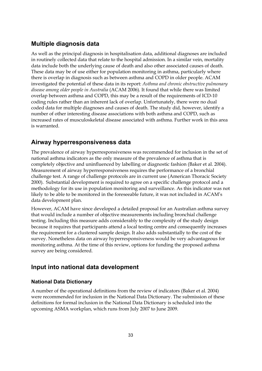## **Multiple diagnosis data**

As well as the principal diagnosis in hospitalisation data, additional diagnoses are included in routinely collected data that relate to the hospital admission. In a similar vein, mortality data include both the underlying cause of death and also other associated causes of death. These data may be of use either for population monitoring in asthma, particularly where there is overlap in diagnosis such as between asthma and COPD in older people. ACAM investigated the potential of these data in its report: *Asthma and chronic obstructive pulmonary disease among older people in Australia* (ACAM 2006). It found that while there was limited overlap between asthma and COPD, this may be a result of the requirements of ICD-10 coding rules rather than an inherent lack of overlap. Unfortunately, there were no dual coded data for multiple diagnoses and causes of death. The study did, however, identify a number of other interesting disease associations with both asthma and COPD, such as increased rates of musculoskeletal disease associated with asthma. Further work in this area is warranted.

## **Airway hyperresponsiveness data**

The prevalence of airway hyperresponsiveness was recommended for inclusion in the set of national asthma indicators as the only measure of the prevalence of asthma that is completely objective and uninfluenced by labelling or diagnostic fashion (Baker et al. 2004). Measurement of airway hyperresponsiveness requires the performance of a bronchial challenge test. A range of challenge protocols are in current use (American Thoracic Society 2000). Substantial development is required to agree on a specific challenge protocol and a methodology for its use in population monitoring and surveillance. As this indicator was not likely to be able to be monitored in the foreseeable future, it was not included in ACAM's data development plan.

However, ACAM have since developed a detailed proposal for an Australian asthma survey that would include a number of objective measurements including bronchial challenge testing. Including this measure adds considerably to the complexity of the study design because it requires that participants attend a local testing centre and consequently increases the requirement for a clustered sample design. It also adds substantially to the cost of the survey. Nonetheless data on airway hyperresponsiveness would be very advantageous for monitoring asthma. At the time of this review, options for funding the proposed asthma survey are being considered.

## **Input into national data development**

#### **National Data Dictionary**

A number of the operational definitions from the review of indicators (Baker et al. 2004) were recommended for inclusion in the National Data Dictionary. The submission of these definitions for formal inclusion in the National Data Dictionary is scheduled into the upcoming ASMA workplan, which runs from July 2007 to June 2009.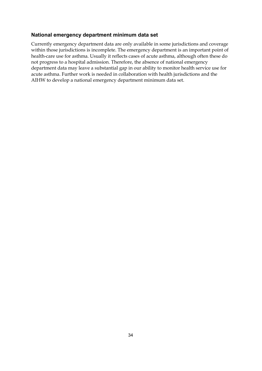#### **National emergency department minimum data set**

Currently emergency department data are only available in some jurisdictions and coverage within those jurisdictions is incomplete. The emergency department is an important point of health-care use for asthma. Usually it reflects cases of acute asthma, although often these do not progress to a hospital admission. Therefore, the absence of national emergency department data may leave a substantial gap in our ability to monitor health service use for acute asthma. Further work is needed in collaboration with health jurisdictions and the AIHW to develop a national emergency department minimum data set.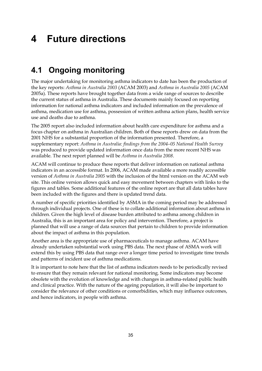# **4 Future directions**

## **4.1 Ongoing monitoring**

The major undertaking for monitoring asthma indicators to date has been the production of the key reports: *Asthma in Australia 2003* (ACAM 2003) and *Asthma in Australia 2005* (ACAM 2005a). These reports have brought together data from a wide range of sources to describe the current status of asthma in Australia. These documents mainly focused on reporting information for national asthma indicators and included information on the prevalence of asthma, medication use for asthma, possession of written asthma action plans, health service use and deaths due to asthma.

The 2005 report also included information about health care expenditure for asthma and a focus chapter on asthma in Australian children. Both of these reports drew on data from the 2001 NHS for a substantial proportion of the information presented. Therefore, a supplementary report: *Asthma in Australia: findings from the 2004–05 National Health Survey* was produced to provide updated information once data from the more recent NHS was available. The next report planned will be *Asthma in Australia 2008*.

ACAM will continue to produce these reports that deliver information on national asthma indicators in an accessible format. In 2006, ACAM made available a more readily accessible version of *Asthma in Australia 2005* with the inclusion of the html version on the ACAM web site. This online version allows quick and easy movement between chapters with links to the figures and tables. Some additional features of the online report are that all data tables have been included with the figures and there is updated trend data.

A number of specific priorities identified by ASMA in the coming period may be addressed through individual projects. One of these is to collate additional information about asthma in children. Given the high level of disease burden attributed to asthma among children in Australia, this is an important area for policy and intervention. Therefore, a project is planned that will use a range of data sources that pertain to children to provide information about the impact of asthma in this population.

Another area is the appropriate use of pharmaceuticals to manage asthma. ACAM have already undertaken substantial work using PBS data. The next phase of ASMA work will extend this by using PBS data that range over a longer time period to investigate time trends and patterns of incident use of asthma medications.

It is important to note here that the list of asthma indicators needs to be periodically revised to ensure that they remain relevant for national monitoring. Some indicators may become obsolete with the evolution of knowledge and with changes in asthma-related public health and clinical practice. With the nature of the ageing population, it will also be important to consider the relevance of other conditions or comorbidities, which may influence outcomes, and hence indicators, in people with asthma.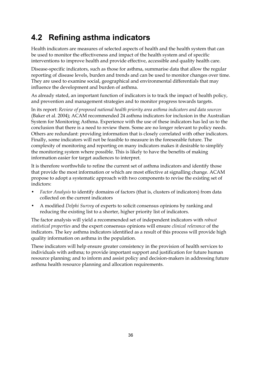## **4.2 Refining asthma indicators**

Health indicators are measures of selected aspects of health and the health system that can be used to monitor the effectiveness and impact of the health system and of specific interventions to improve health and provide effective, accessible and quality health care.

Disease-specific indicators, such as those for asthma, summarise data that allow the regular reporting of disease levels, burden and trends and can be used to monitor changes over time. They are used to examine social, geographical and environmental differentials that may influence the development and burden of asthma.

As already stated, an important function of indicators is to track the impact of health policy, and prevention and management strategies and to monitor progress towards targets.

In its report: *Review of proposed national health priority area asthma indicators and data sources* (Baker et al. 2004); ACAM recommended 24 asthma indicators for inclusion in the Australian System for Monitoring Asthma. Experience with the use of these indicators has led us to the conclusion that there is a need to review them. Some are no longer relevant to policy needs. Others are redundant: providing information that is closely correlated with other indicators. Finally, some indicators will not be feasible to measure in the foreseeable future. The complexity of monitoring and reporting on many indicators makes it desirable to simplify the monitoring system where possible. This is likely to have the benefits of making information easier for target audiences to interpret.

It is therefore worthwhile to refine the current set of asthma indicators and identify those that provide the most information or which are most effective at signalling change. ACAM propose to adopt a systematic approach with two components to revise the existing set of indictors:

- *Factor Analysis* to identify domains of factors (that is, clusters of indicators) from data collected on the current indicators
- A modified *Delphi Survey* of experts to solicit consensus opinions by ranking and reducing the existing list to a shorter, higher priority list of indicators.

The factor analysis will yield a recommended set of independent indicators with *robust statistical properties* and the expert consensus opinions will ensure *clinical relevance* of the indicators. The key asthma indicators identified as a result of this process will provide high quality information on asthma in the population.

These indicators will help ensure greater consistency in the provision of health services to individuals with asthma; to provide important support and justification for future human resource planning; and to inform and assist policy and decision-makers in addressing future asthma health resource planning and allocation requirements.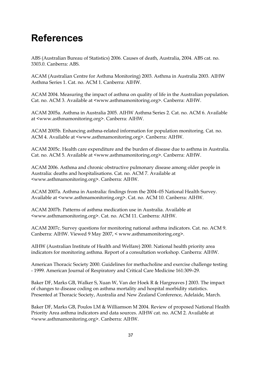# **References**

ABS (Australian Bureau of Statistics) 2006. Causes of death, Australia, 2004. ABS cat. no. 3303.0. Canberra: ABS.

ACAM (Australian Centre for Asthma Monitoring) 2003. Asthma in Australia 2003. AIHW Asthma Series 1. Cat. no. ACM 1. Canberra: AIHW.

ACAM 2004. Measuring the impact of asthma on quality of life in the Australian population. Cat. no. ACM 3. Available at <www.asthmamonitoring.org>. Canberra: AIHW.

ACAM 2005a. Asthma in Australia 2005. AIHW Asthma Series 2. Cat. no. ACM 6. Available at <www.asthmamonitoring.org>. Canberra: AIHW.

ACAM 2005b. Enhancing asthma-related information for population monitoring. Cat. no. ACM 4. Available at <www.asthmamonitoring.org>. Canberra: AIHW.

ACAM 2005c. Health care expenditure and the burden of disease due to asthma in Australia. Cat. no. ACM 5. Available at <www.asthmamonitoring.org>. Canberra: AIHW.

ACAM 2006. Asthma and chronic obstructive pulmonary disease among older people in Australia: deaths and hospitalisations. Cat. no. ACM 7. Available at <www.asthmamonitoring.org>. Canberra: AIHW.

ACAM 2007a. Asthma in Australia: findings from the 2004–05 National Health Survey. Available at <www.asthmamonitoring.org>. Cat. no. ACM 10. Canberra: AIHW.

ACAM 2007b. Patterns of asthma medication use in Australia. Available at <www.asthmamonitoring.org>. Cat. no. ACM 11. Canberra: AIHW.

ACAM 2007c. Survey questions for monitoring national asthma indicators. Cat. no. ACM 9. Canberra: AIHW. Viewed 9 May 2007, < www.asthmamonitoring.org>.

AIHW (Australian Institute of Health and Welfare) 2000. National health priority area indicators for monitoring asthma. Report of a consultation workshop. Canberra: AIHW.

American Thoracic Society 2000. Guidelines for methacholine and exercise challenge testing - 1999. American Journal of Respiratory and Critical Care Medicine 161:309–29.

Baker DF, Marks GB, Walker S, Xuan W, Van der Hoek R & Hargreaves J 2003. The impact of changes to disease coding on asthma mortality and hospital morbidity statistics. Presented at Thoracic Society, Australia and New Zealand Conference, Adelaide, March.

Baker DF, Marks GB, Poulos LM & Williamson M 2004. Review of proposed National Health Priority Area asthma indicators and data sources. AIHW cat. no. ACM 2. Available at <www.asthmamonitoring.org>. Canberra: AIHW.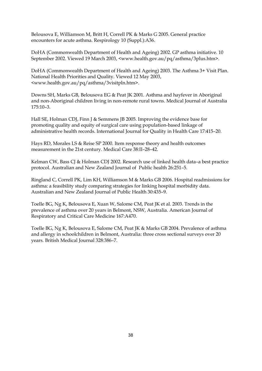Belousova E, Williamson M, Britt H, Correll PK & Marks G 2005. General practice encounters for acute asthma. Respirology 10 (Suppl.):A36.

DoHA (Commonwealth Department of Health and Ageing) 2002. GP asthma initiative. 10 September 2002. Viewed 19 March 2003, <www.health.gov.au/pq/asthma/3plus.htm>.

DoHA (Commonwealth Department of Health and Ageing) 2003. The Asthma 3+ Visit Plan. National Health Priorities and Quality. Viewed 12 May 2003, <www.health.gov.au/pq/asthma/3visitpln.htm>.

Downs SH, Marks GB, Belousova EG & Peat JK 2001. Asthma and hayfever in Aboriginal and non-Aboriginal children living in non-remote rural towns. Medical Journal of Australia 175:10–3.

Hall SE, Holman CDJ, Finn J & Semmens JB 2005. Improving the evidence base for promoting quality and equity of surgical care using population-based linkage of administrative health records. International Journal for Quality in Health Care 17:415–20.

Hays RD, Morales LS & Reise SP 2000. Item response theory and health outcomes measurement in the 21st century. Medical Care 38:II–28–42.

Kelman CW, Bass CJ & Holman CDJ 2002. Research use of linked health data–a best practice protocol. Australian and New Zealand Journal of Public health 26:251–5.

Ringland C, Correll PK, Lim KH, Williamson M & Marks GB 2006. Hospital readmissions for asthma: a feasibility study comparing strategies for linking hospital morbidity data. Australian and New Zealand Journal of Public Health 30:435–9.

Toelle BG, Ng K, Belousova E, Xuan W, Salome CM, Peat JK et al. 2003. Trends in the prevalence of asthma over 20 years in Belmont, NSW, Australia. American Journal of Respiratory and Critical Care Medicine 167:A470.

Toelle BG, Ng K, Belousova E, Salome CM, Peat JK & Marks GB 2004. Prevalence of asthma and allergy in schoolchildren in Belmont, Australia: three cross sectional surveys over 20 years. British Medical Journal 328:386–7.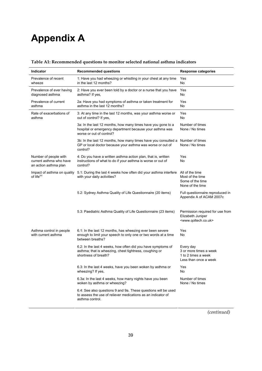# **Appendix A**

| Indicator                                                                 | <b>Recommended questions</b>                                                                                                                             | <b>Response categories</b>                                                                       |  |
|---------------------------------------------------------------------------|----------------------------------------------------------------------------------------------------------------------------------------------------------|--------------------------------------------------------------------------------------------------|--|
| Prevalence of recent<br>wheeze                                            | 1: Have you had wheezing or whistling in your chest at any time<br>in the last 12 months?                                                                | Yes<br>No                                                                                        |  |
| Prevalence of ever having<br>diagnosed asthma                             | 2: Have you ever been told by a doctor or a nurse that you have<br>asthma? If yes,                                                                       | Yes<br>No                                                                                        |  |
| Prevalence of current<br>asthma                                           | 2a: Have you had symptoms of asthma or taken treatment for<br>asthma in the last 12 months?                                                              | Yes<br>No                                                                                        |  |
| Rate of exacerbations of<br>asthma                                        | 3: At any time in the last 12 months, was your asthma worse or<br>out of control? If yes,                                                                | Yes<br>No                                                                                        |  |
|                                                                           | 3a: In the last 12 months, how many times have you gone to a<br>hospital or emergency department because your asthma was<br>worse or out of control?     | Number of times<br>None / No times                                                               |  |
|                                                                           | 3b: In the last 12 months, how many times have you consulted a Number of times<br>GP or local doctor because your asthma was worse or out of<br>control? | None / No times                                                                                  |  |
| Number of people with<br>current asthma who have<br>an action asthma plan | 4: Do you have a written asthma action plan, that is, written<br>instructions of what to do if your asthma is worse or out of<br>control?                | Yes<br>No                                                                                        |  |
| Impact of asthma on quality<br>of life $(a)$                              | 5.1: During the last 4 weeks how often did your asthma interfere<br>with your daily activities?                                                          | All of the time<br>Most of the time<br>Some of the time<br>None of the time                      |  |
|                                                                           | 5.2: Sydney Asthma Quality of Life Questionnaire (20 items)                                                                                              | Full questionnaire reproduced in<br>Appendix A of ACAM 2007c                                     |  |
|                                                                           | 5.3: Paediatric Asthma Quality of Life Questionnaire (23 items)                                                                                          | Permission required for use from<br>Elizabeth Juniper<br><www.qoltech.co.uk></www.qoltech.co.uk> |  |
| Asthma control in people<br>with current asthma                           | 6.1: In the last 12 months, has wheezing ever been severe<br>enough to limit your speech to only one or two words at a time<br>between breaths?          | Yes<br>No                                                                                        |  |
|                                                                           | 6.2: In the last 4 weeks, how often did you have symptoms of<br>asthma; that is wheezing, chest tightness, coughing or<br>shortness of breath?           | Every day<br>3 or more times a week<br>1 to 2 times a week<br>Less than once a week              |  |
|                                                                           | 6.3: In the last 4 weeks, have you been woken by asthma or<br>wheezing? If yes,                                                                          | Yes<br>No                                                                                        |  |
|                                                                           | 6.3a: In the last 4 weeks, how many nights have you been<br>woken by asthma or wheezing?                                                                 | Number of times<br>None / No times                                                               |  |
|                                                                           | 6.4: See also questions 9 and 9a. These questions will be used<br>to assess the use of reliever medications as an indicator of<br>asthma control.        |                                                                                                  |  |

#### **Table A1: Recommended questions to monitor selected national asthma indicators**

*(continued)*